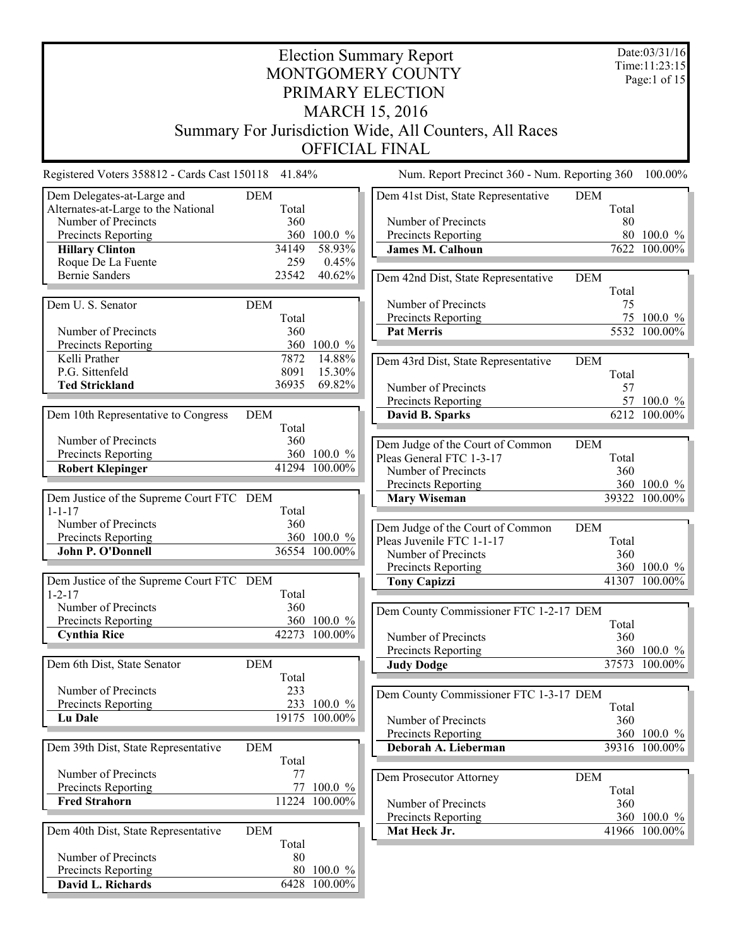| <b>Election Summary Report</b><br>Time:11:23:15<br>MONTGOMERY COUNTY<br>PRIMARY ELECTION |                     |                              |                                                        |                     |                              |
|------------------------------------------------------------------------------------------|---------------------|------------------------------|--------------------------------------------------------|---------------------|------------------------------|
|                                                                                          |                     |                              | <b>MARCH 15, 2016</b>                                  |                     |                              |
|                                                                                          |                     |                              |                                                        |                     |                              |
|                                                                                          |                     |                              | Summary For Jurisdiction Wide, All Counters, All Races |                     |                              |
|                                                                                          |                     |                              | <b>OFFICIAL FINAL</b>                                  |                     |                              |
| Registered Voters 358812 - Cards Cast 150118 41.84%                                      |                     |                              | Num. Report Precinct 360 - Num. Reporting 360          |                     | 100.00%                      |
| Dem Delegates-at-Large and<br>Alternates-at-Large to the National                        | <b>DEM</b><br>Total |                              | Dem 41st Dist, State Representative                    | <b>DEM</b><br>Total |                              |
| Number of Precincts                                                                      | 360                 |                              | Number of Precincts                                    | 80                  |                              |
| Precincts Reporting                                                                      | 360                 | $100.0 \%$                   | Precincts Reporting                                    |                     | 80 100.0 %                   |
| <b>Hillary Clinton</b>                                                                   | 34149               | 58.93%                       | <b>James M. Calhoun</b>                                |                     | 7622 100.00%                 |
| Roque De La Fuente                                                                       | 259                 | 0.45%                        |                                                        |                     |                              |
| <b>Bernie Sanders</b>                                                                    | 23542               | 40.62%                       | Dem 42nd Dist, State Representative                    | <b>DEM</b>          |                              |
|                                                                                          |                     |                              |                                                        | Total               |                              |
| Dem U. S. Senator                                                                        | <b>DEM</b>          |                              | Number of Precincts                                    | 75                  | 75 100.0 %                   |
| Number of Precincts                                                                      | Total<br>360        |                              | Precincts Reporting<br><b>Pat Merris</b>               |                     | 5532 100.00%                 |
| Precincts Reporting                                                                      | 360                 | 100.0 %                      |                                                        |                     |                              |
| Kelli Prather                                                                            | 7872                | 14.88%                       | Dem 43rd Dist, State Representative                    | <b>DEM</b>          |                              |
| P.G. Sittenfeld                                                                          | 8091                | 15.30%                       |                                                        | Total               |                              |
| <b>Ted Strickland</b>                                                                    | 36935               | 69.82%                       | Number of Precincts                                    | 57                  |                              |
|                                                                                          |                     |                              | Precincts Reporting                                    |                     | 57 100.0 %                   |
| Dem 10th Representative to Congress                                                      | <b>DEM</b>          |                              | David B. Sparks                                        |                     | 6212 100.00%                 |
|                                                                                          | Total               |                              |                                                        |                     |                              |
| Number of Precincts                                                                      | 360                 |                              | Dem Judge of the Court of Common                       | <b>DEM</b>          |                              |
| Precincts Reporting<br><b>Robert Klepinger</b>                                           |                     | 360 100.0 %<br>41294 100.00% | Pleas General FTC 1-3-17                               | Total               |                              |
|                                                                                          |                     |                              | Number of Precincts                                    | 360                 |                              |
| Dem Justice of the Supreme Court FTC DEM                                                 |                     |                              | Precincts Reporting<br><b>Mary Wiseman</b>             |                     | 360 100.0 %<br>39322 100.00% |
| $1 - 1 - 17$                                                                             | Total               |                              |                                                        |                     |                              |
| Number of Precincts                                                                      | 360                 |                              | Dem Judge of the Court of Common                       | <b>DEM</b>          |                              |
| Precincts Reporting                                                                      |                     | 360 100.0 %                  | Pleas Juvenile FTC 1-1-17                              | Total               |                              |
| John P. O'Donnell                                                                        |                     | 36554 100.00%                | Number of Precincts                                    | 360                 |                              |
|                                                                                          |                     |                              | Precincts Reporting                                    |                     | 360 100.0 %                  |
| Dem Justice of the Supreme Court FTC DEM                                                 |                     |                              | <b>Tony Capizzi</b>                                    |                     | 41307 100.00%                |
| $1 - 2 - 17$                                                                             | Total               |                              |                                                        |                     |                              |
| Number of Precincts                                                                      | 360                 |                              | Dem County Commissioner FTC 1-2-17 DEM                 |                     |                              |
| Precincts Reporting<br><b>Cynthia Rice</b>                                               |                     | 360 100.0 %<br>42273 100.00% |                                                        | Total               |                              |
|                                                                                          |                     |                              | Number of Precincts                                    | 360                 | 360 100.0 %                  |
| Dem 6th Dist, State Senator                                                              | <b>DEM</b>          |                              | Precincts Reporting<br><b>Judy Dodge</b>               |                     | 37573 100.00%                |
|                                                                                          | Total               |                              |                                                        |                     |                              |
| Number of Precincts                                                                      | 233                 |                              | Dem County Commissioner FTC 1-3-17 DEM                 |                     |                              |
| Precincts Reporting                                                                      |                     | 233 100.0 %                  |                                                        | Total               |                              |
| <b>Lu Dale</b>                                                                           |                     | 19175 100.00%                | Number of Precincts                                    | 360                 |                              |
|                                                                                          |                     |                              | Precincts Reporting                                    |                     | 360 100.0 %                  |
| Dem 39th Dist, State Representative                                                      | <b>DEM</b>          |                              | Deborah A. Lieberman                                   |                     | 39316 100.00%                |
|                                                                                          | Total               |                              |                                                        |                     |                              |
| Number of Precincts                                                                      | 77<br>77            | $100.0 \%$                   | Dem Prosecutor Attorney                                | <b>DEM</b>          |                              |
| Precincts Reporting<br><b>Fred Strahorn</b>                                              |                     | 11224 100.00%                |                                                        | Total               |                              |
|                                                                                          |                     |                              | Number of Precincts                                    | 360                 |                              |
| Dem 40th Dist, State Representative                                                      | <b>DEM</b>          |                              | Precincts Reporting<br>Mat Heck Jr.                    |                     | 360 100.0 %<br>41966 100.00% |
|                                                                                          | Total               |                              |                                                        |                     |                              |
| Number of Precincts                                                                      | 80                  |                              |                                                        |                     |                              |
| Precincts Reporting                                                                      |                     | 80 100.0 %                   |                                                        |                     |                              |
| David L. Richards                                                                        |                     | 6428 100.00%                 |                                                        |                     |                              |
|                                                                                          |                     |                              |                                                        |                     |                              |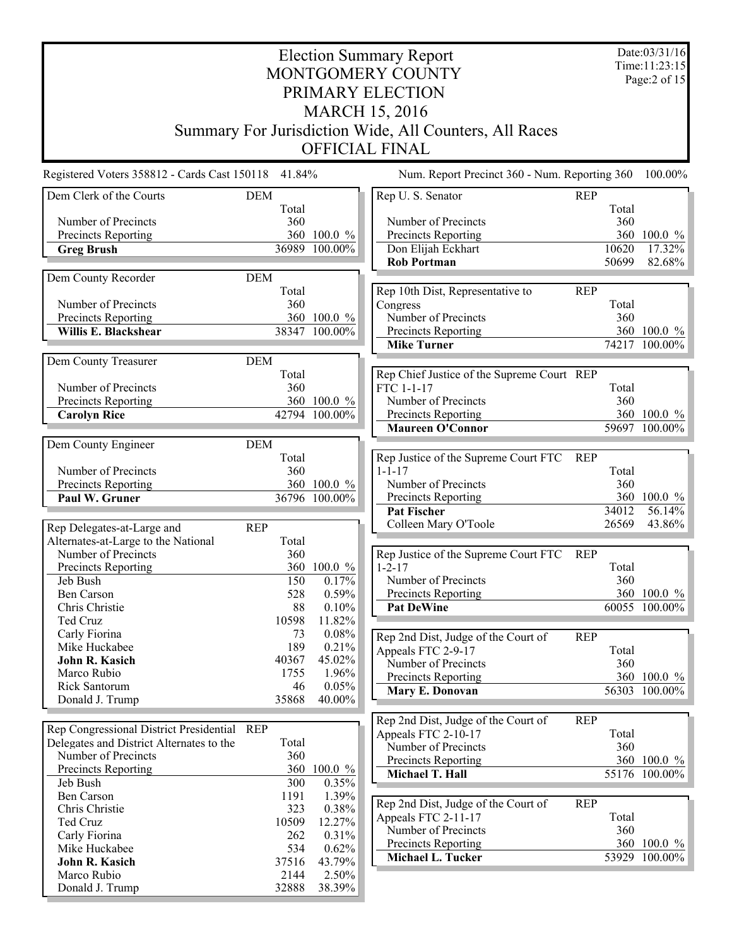| <b>Election Summary Report</b><br>MONTGOMERY COUNTY |              |                 |                                                           |            |              |                      |
|-----------------------------------------------------|--------------|-----------------|-----------------------------------------------------------|------------|--------------|----------------------|
|                                                     |              |                 |                                                           |            |              | Page:2 of 15         |
|                                                     |              |                 | PRIMARY ELECTION                                          |            |              |                      |
|                                                     |              |                 | <b>MARCH 15, 2016</b>                                     |            |              |                      |
|                                                     |              |                 | Summary For Jurisdiction Wide, All Counters, All Races    |            |              |                      |
|                                                     |              |                 | <b>OFFICIAL FINAL</b>                                     |            |              |                      |
| Registered Voters 358812 - Cards Cast 150118 41.84% |              |                 | Num. Report Precinct 360 - Num. Reporting 360             |            |              | 100.00%              |
| Dem Clerk of the Courts                             | <b>DEM</b>   |                 | Rep U. S. Senator                                         | <b>REP</b> |              |                      |
| Number of Precincts                                 | Total<br>360 |                 | Number of Precincts                                       |            | Total<br>360 |                      |
| Precincts Reporting                                 |              | 360 100.0 %     | Precincts Reporting                                       |            | 360          | $100.0 \%$           |
| <b>Greg Brush</b>                                   |              | 36989 100.00%   | Don Elijah Eckhart                                        |            | 10620        | $\overline{17.32\%}$ |
|                                                     |              |                 | <b>Rob Portman</b>                                        |            | 50699        | 82.68%               |
| Dem County Recorder                                 | <b>DEM</b>   |                 |                                                           |            |              |                      |
|                                                     | Total        |                 | Rep 10th Dist, Representative to                          | <b>REP</b> |              |                      |
| Number of Precincts                                 | 360          |                 | Congress                                                  |            | Total        |                      |
| Precincts Reporting                                 |              | 360 100.0 %     | Number of Precincts                                       |            | 360          |                      |
| Willis E. Blackshear                                |              | 38347 100.00%   | Precincts Reporting                                       |            |              | 360 100.0 %          |
|                                                     |              |                 | <b>Mike Turner</b>                                        |            |              | 74217 100.00%        |
| Dem County Treasurer                                | <b>DEM</b>   |                 |                                                           |            |              |                      |
|                                                     | Total        |                 | Rep Chief Justice of the Supreme Court REP                |            |              |                      |
| Number of Precincts<br>Precincts Reporting          | 360          | 360 100.0 %     | FTC 1-1-17<br>Number of Precincts                         |            | Total<br>360 |                      |
| <b>Carolyn Rice</b>                                 |              | 42794 100.00%   | Precincts Reporting                                       |            |              | 360 100.0 %          |
|                                                     |              |                 | <b>Maureen O'Connor</b>                                   |            |              | 59697 100.00%        |
| Dem County Engineer                                 | <b>DEM</b>   |                 |                                                           |            |              |                      |
|                                                     | Total        |                 | Rep Justice of the Supreme Court FTC                      | <b>REP</b> |              |                      |
| Number of Precincts                                 | 360          |                 | $1 - 1 - 17$                                              |            | Total        |                      |
| Precincts Reporting                                 |              | 360 100.0 %     | Number of Precincts                                       |            | 360          |                      |
| Paul W. Gruner                                      |              | 36796 100.00%   | Precincts Reporting                                       |            |              | 360 100.0 %          |
|                                                     |              |                 | <b>Pat Fischer</b>                                        |            | 34012        | 56.14%               |
| Rep Delegates-at-Large and                          | <b>REP</b>   |                 | Colleen Mary O'Toole                                      |            | 26569        | 43.86%               |
| Alternates-at-Large to the National                 | Total        |                 |                                                           |            |              |                      |
| Number of Precincts                                 | 360          |                 | Rep Justice of the Supreme Court FTC                      | <b>REP</b> |              |                      |
| Precincts Reporting                                 |              | 360 100.0 %     | $1 - 2 - 17$                                              |            | Total        |                      |
| Jeb Bush                                            | 150          | 0.17%           | Number of Precincts                                       |            | 360          |                      |
| <b>Ben Carson</b>                                   | 528          | 0.59%           | Precincts Reporting                                       |            |              | 360 100.0 %          |
| Chris Christie<br>Ted Cruz                          | 88<br>10598  | 0.10%<br>11.82% | <b>Pat DeWine</b>                                         |            |              | 60055 100.00%        |
| Carly Fiorina                                       | 73           | $0.08\%$        |                                                           |            |              |                      |
| Mike Huckabee                                       | 189          | 0.21%           | Rep 2nd Dist, Judge of the Court of<br>Appeals FTC 2-9-17 | <b>REP</b> |              |                      |
| John R. Kasich                                      | 40367        | 45.02%          | Number of Precincts                                       |            | Total<br>360 |                      |
| Marco Rubio                                         | 1755         | 1.96%           | <b>Precincts Reporting</b>                                |            |              | 360 100.0 %          |
| Rick Santorum                                       | 46           | 0.05%           | Mary E. Donovan                                           |            |              | 56303 100.00%        |
| Donald J. Trump                                     | 35868        | 40.00%          |                                                           |            |              |                      |
|                                                     |              |                 | Rep 2nd Dist, Judge of the Court of                       | <b>REP</b> |              |                      |
| Rep Congressional District Presidential REP         |              |                 | Appeals FTC 2-10-17                                       |            | Total        |                      |
| Delegates and District Alternates to the            | Total        |                 | Number of Precincts                                       |            | 360          |                      |
| Number of Precincts                                 | 360          |                 | Precincts Reporting                                       |            |              | 360 100.0 %          |
| Precincts Reporting                                 | 360          | $100.0 \%$      | Michael T. Hall                                           |            |              | 55176 100.00%        |
| Jeb Bush<br><b>Ben Carson</b>                       | 300<br>1191  | 0.35%<br>1.39%  |                                                           |            |              |                      |
| Chris Christie                                      | 323          | 0.38%           | Rep 2nd Dist, Judge of the Court of                       | <b>REP</b> |              |                      |
| Ted Cruz                                            | 10509        | 12.27%          | Appeals FTC 2-11-17                                       |            | Total        |                      |
| Carly Fiorina                                       | 262          | 0.31%           | Number of Precincts                                       |            | 360          |                      |
| Mike Huckabee                                       | 534          | 0.62%           | Precincts Reporting                                       |            |              | 360 100.0 %          |
| John R. Kasich                                      | 37516        | 43.79%          | <b>Michael L. Tucker</b>                                  |            |              | 53929 100.00%        |
| Marco Rubio                                         | 2144         | 2.50%           |                                                           |            |              |                      |
| Donald J. Trump                                     | 32888        | 38.39%          |                                                           |            |              |                      |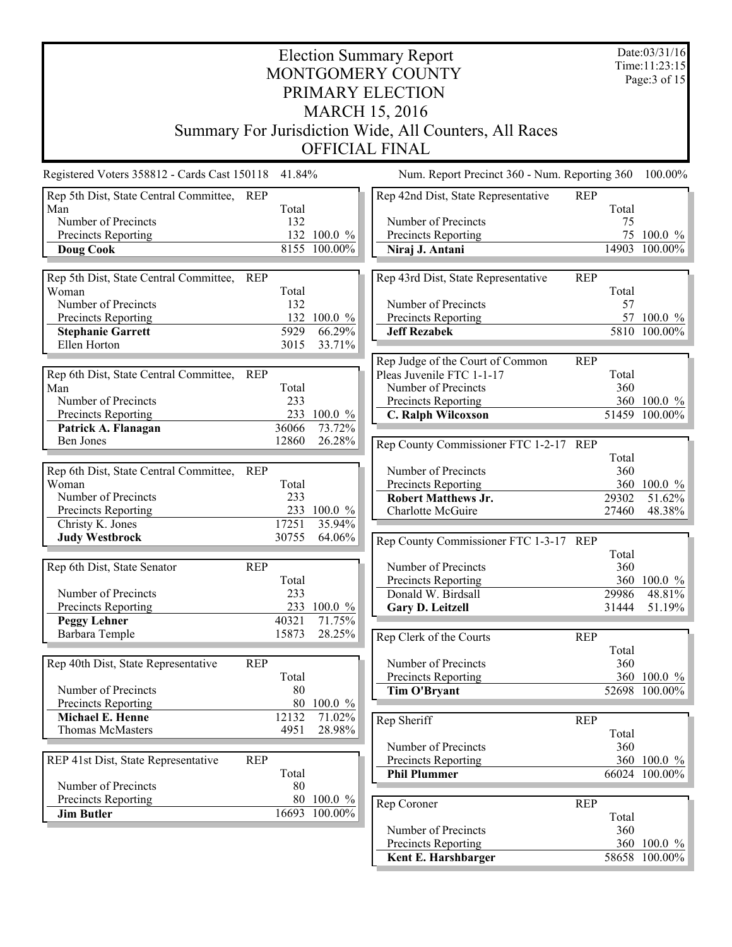|                                                      | Date:03/31/16<br><b>Election Summary Report</b> |                     |                                                        |            |              |               |  |  |  |
|------------------------------------------------------|-------------------------------------------------|---------------------|--------------------------------------------------------|------------|--------------|---------------|--|--|--|
| Time: 11:23:15<br>MONTGOMERY COUNTY                  |                                                 |                     |                                                        |            |              |               |  |  |  |
|                                                      | Page: $3$ of 15<br>PRIMARY ELECTION             |                     |                                                        |            |              |               |  |  |  |
| <b>MARCH 15, 2016</b>                                |                                                 |                     |                                                        |            |              |               |  |  |  |
|                                                      |                                                 |                     | Summary For Jurisdiction Wide, All Counters, All Races |            |              |               |  |  |  |
|                                                      |                                                 |                     | <b>OFFICIAL FINAL</b>                                  |            |              |               |  |  |  |
|                                                      |                                                 |                     |                                                        |            |              |               |  |  |  |
| Registered Voters 358812 - Cards Cast 150118         | 41.84%                                          |                     | Num. Report Precinct 360 - Num. Reporting 360          |            |              | 100.00%       |  |  |  |
| Rep 5th Dist, State Central Committee, REP<br>Man    | Total                                           |                     | Rep 42nd Dist, State Representative                    | <b>REP</b> | Total        |               |  |  |  |
| Number of Precincts                                  | 132                                             |                     | Number of Precincts                                    |            | 75           |               |  |  |  |
| Precincts Reporting                                  |                                                 | 132 100.0 %         | Precincts Reporting                                    |            |              | 75 100.0 %    |  |  |  |
| <b>Doug Cook</b>                                     |                                                 | $8155 - 100.00\%$   | Niraj J. Antani                                        |            | 14903        | 100.00%       |  |  |  |
| Rep 5th Dist, State Central Committee,<br><b>REP</b> |                                                 |                     | Rep 43rd Dist, State Representative                    | <b>REP</b> |              |               |  |  |  |
| Woman                                                | Total                                           |                     |                                                        |            | Total        |               |  |  |  |
| Number of Precincts                                  | 132                                             |                     | Number of Precincts                                    |            | 57           |               |  |  |  |
| Precincts Reporting                                  |                                                 | 132 100.0 %         | Precincts Reporting                                    |            |              | 57 100.0 %    |  |  |  |
| <b>Stephanie Garrett</b><br>Ellen Horton             | 5929<br>3015                                    | $66.29\%$<br>33.71% | <b>Jeff Rezabek</b>                                    |            |              | 5810 100.00%  |  |  |  |
|                                                      |                                                 |                     | Rep Judge of the Court of Common                       |            |              |               |  |  |  |
| Rep 6th Dist, State Central Committee,<br><b>REP</b> |                                                 |                     | Pleas Juvenile FTC 1-1-17                              | <b>REP</b> | Total        |               |  |  |  |
| Man                                                  | Total                                           |                     | Number of Precincts                                    |            | 360          |               |  |  |  |
| Number of Precincts                                  | 233                                             |                     | Precincts Reporting                                    |            |              | 360 100.0 %   |  |  |  |
| Precincts Reporting                                  |                                                 | 233 100.0 %         | C. Ralph Wilcoxson                                     |            |              | 51459 100.00% |  |  |  |
| Patrick A. Flanagan                                  | 36066                                           | 73.72%              |                                                        |            |              |               |  |  |  |
| Ben Jones                                            | 12860                                           | 26.28%              | Rep County Commissioner FTC 1-2-17 REP                 |            |              |               |  |  |  |
| Rep 6th Dist, State Central Committee, REP           |                                                 |                     | Number of Precincts                                    |            | Total<br>360 |               |  |  |  |
| Woman                                                | Total                                           |                     | Precincts Reporting                                    |            |              | 360 100.0 %   |  |  |  |
| Number of Precincts                                  | 233                                             |                     | <b>Robert Matthews Jr.</b>                             |            | 29302        | 51.62%        |  |  |  |
| Precincts Reporting                                  |                                                 | 233 100.0 %         | <b>Charlotte McGuire</b>                               |            | 27460        | 48.38%        |  |  |  |
| Christy K. Jones                                     | 17251                                           | 35.94%              |                                                        |            |              |               |  |  |  |
| <b>Judy Westbrock</b>                                | 30755                                           | 64.06%              | Rep County Commissioner FTC 1-3-17 REP                 |            | Total        |               |  |  |  |
| Rep 6th Dist, State Senator<br><b>REP</b>            |                                                 |                     | Number of Precincts                                    |            | 360          |               |  |  |  |
|                                                      | Total                                           |                     | Precincts Reporting                                    |            |              | 360 100.0 %   |  |  |  |
| Number of Precincts                                  | 233                                             |                     | Donald W. Birdsall                                     |            | 29986        | 48.81%        |  |  |  |
| Precincts Reporting                                  |                                                 | 233 100.0 %         | Gary D. Leitzell                                       |            | 31444        | 51.19%        |  |  |  |
| <b>Peggy Lehner</b><br>Barbara Temple                | 40321<br>15873                                  | 71.75%<br>28.25%    |                                                        |            |              |               |  |  |  |
|                                                      |                                                 |                     | Rep Clerk of the Courts                                | <b>REP</b> | Total        |               |  |  |  |
| Rep 40th Dist, State Representative<br><b>REP</b>    |                                                 |                     | Number of Precincts                                    |            | 360          |               |  |  |  |
|                                                      | Total                                           |                     | <b>Precincts Reporting</b>                             |            |              | 360 100.0 %   |  |  |  |
| Number of Precincts                                  | 80                                              |                     | Tim O'Bryant                                           |            |              | 52698 100.00% |  |  |  |
| Precincts Reporting                                  | 80                                              | $100.0 \%$          |                                                        |            |              |               |  |  |  |
| Michael E. Henne<br><b>Thomas McMasters</b>          | 12132<br>4951                                   | 71.02%<br>28.98%    | Rep Sheriff                                            | <b>REP</b> |              |               |  |  |  |
|                                                      |                                                 |                     |                                                        |            | Total        |               |  |  |  |
| <b>REP</b><br>REP 41st Dist, State Representative    |                                                 |                     | Number of Precincts<br>Precincts Reporting             |            | 360          | 360 100.0 %   |  |  |  |
|                                                      | Total                                           |                     | <b>Phil Plummer</b>                                    |            |              | 66024 100.00% |  |  |  |
| Number of Precincts                                  | 80                                              |                     |                                                        |            |              |               |  |  |  |
| Precincts Reporting                                  |                                                 | 80 100.0 %          | Rep Coroner                                            | <b>REP</b> |              |               |  |  |  |
| <b>Jim Butler</b>                                    |                                                 | 16693 100.00%       |                                                        |            | Total        |               |  |  |  |
|                                                      |                                                 |                     | Number of Precincts                                    |            | 360          |               |  |  |  |
|                                                      |                                                 |                     | Precincts Reporting                                    |            |              | 360 100.0 %   |  |  |  |
|                                                      |                                                 |                     | Kent E. Harshbarger                                    |            |              | 58658 100.00% |  |  |  |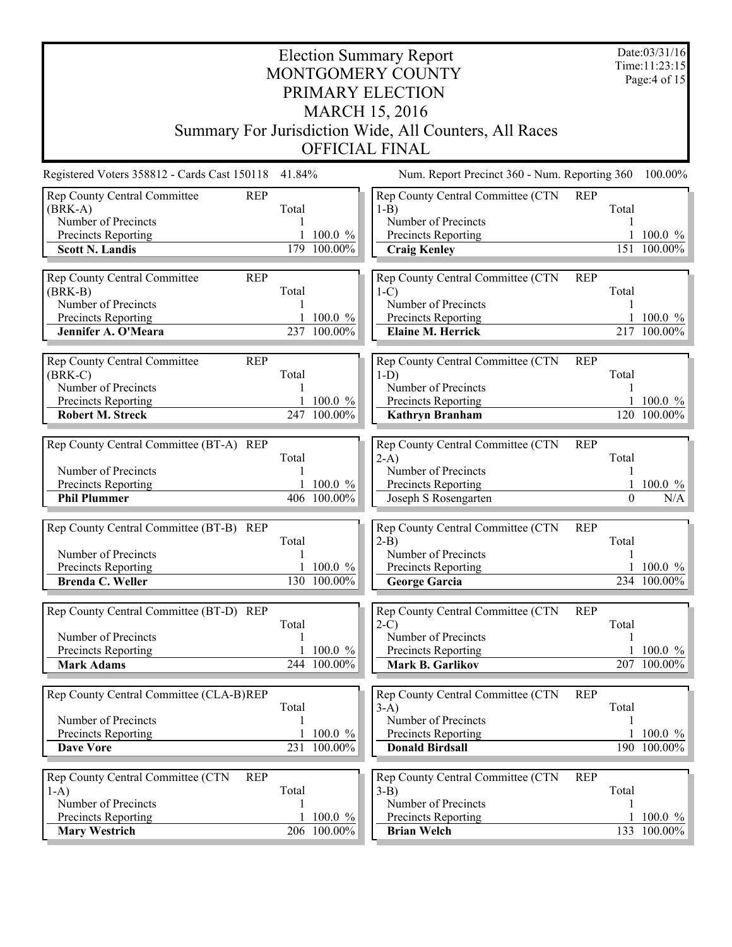| <b>Election Summary Report</b><br>MONTGOMERY COUNTY                                                                                     |            |                            |                                                                                                                      |            |                   |                                        |  |  |  |
|-----------------------------------------------------------------------------------------------------------------------------------------|------------|----------------------------|----------------------------------------------------------------------------------------------------------------------|------------|-------------------|----------------------------------------|--|--|--|
| PRIMARY ELECTION<br><b>MARCH 15, 2016</b>                                                                                               |            |                            |                                                                                                                      |            |                   |                                        |  |  |  |
| Summary For Jurisdiction Wide, All Counters, All Races<br><b>OFFICIAL FINAL</b>                                                         |            |                            |                                                                                                                      |            |                   |                                        |  |  |  |
| Registered Voters 358812 - Cards Cast 150118 41.84%                                                                                     |            |                            | Num. Report Precinct 360 - Num. Reporting 360                                                                        |            |                   | 100.00%                                |  |  |  |
| Rep County Central Committee<br><b>REP</b><br>$(BRK-A)$<br>Number of Precincts<br>Precincts Reporting<br><b>Scott N. Landis</b>         | Total      | 100.0 %<br>179 100.00%     | Rep County Central Committee (CTN<br>$1-B$<br>Number of Precincts<br>Precincts Reporting<br><b>Craig Kenley</b>      | <b>REP</b> | Total<br>151      | 1 100.0 $%$<br>100.00%                 |  |  |  |
| Rep County Central Committee<br><b>REP</b><br>$(BRK-B)$<br>Number of Precincts<br>Precincts Reporting<br>Jennifer A. O'Meara            | Total      | $100.0 \%$<br>237 100.00%  | Rep County Central Committee (CTN<br>$1-C$<br>Number of Precincts<br>Precincts Reporting<br><b>Elaine M. Herrick</b> | <b>REP</b> | Total             | 1 100.0 $\%$<br>217 100.00%            |  |  |  |
| <b>Rep County Central Committee</b><br><b>REP</b><br>$(BRK-C)$<br>Number of Precincts<br>Precincts Reporting<br><b>Robert M. Streck</b> | Total      | $100.0 \%$<br>247 100.00%  | Rep County Central Committee (CTN<br>$1-D$<br>Number of Precincts<br>Precincts Reporting<br><b>Kathryn Branham</b>   | <b>REP</b> | Total             | 1 100.0 $\frac{\%}{\%}$<br>120 100.00% |  |  |  |
| Rep County Central Committee (BT-A) REP<br>Number of Precincts<br>Precincts Reporting<br><b>Phil Plummer</b>                            | Total      | $100.0 \%$<br>406 100.00%  | Rep County Central Committee (CTN<br>$2-A$ )<br>Number of Precincts<br>Precincts Reporting<br>Joseph S Rosengarten   | <b>REP</b> | Total<br>$\theta$ | 1 100.0 $%$<br>N/A                     |  |  |  |
| Rep County Central Committee (BT-B) REP<br>Number of Precincts<br>Precincts Reporting<br>Brenda C. Weller                               | Total      | 1 100.0 $%$<br>130 100.00% | Rep County Central Committee (CTN<br>$2-B$ )<br>Number of Precincts<br>Precincts Reporting<br><b>George Garcia</b>   | <b>REP</b> | Total             | 1 100.0 $%$<br>234 100.00%             |  |  |  |
| Rep County Central Committee (BT-D) REP<br>Number of Precincts<br>Precincts Reporting<br><b>Mark Adams</b>                              | Total<br>1 | 100.0 %<br>244 100.00%     | Rep County Central Committee (CTN<br>$2-C$<br>Number of Precincts<br>Precincts Reporting<br>Mark B. Garlikov         | <b>REP</b> | Total             | 100.0 $%$<br>$\overline{207}$ 100.00%  |  |  |  |
| Rep County Central Committee (CLA-B)REP<br>Number of Precincts<br>Precincts Reporting<br><b>Dave Vore</b>                               | Total      | $100.0 \%$<br>231 100.00%  | Rep County Central Committee (CTN<br>$3-A$ )<br>Number of Precincts<br>Precincts Reporting<br><b>Donald Birdsall</b> | <b>REP</b> | Total             | 1 100.0 $\%$<br>190 100.00%            |  |  |  |
| Rep County Central Committee (CTN<br><b>REP</b><br>$1-A$ )<br>Number of Precincts<br>Precincts Reporting<br><b>Mary Westrich</b>        | Total<br>1 | $100.0 \%$<br>206 100.00%  | Rep County Central Committee (CTN<br>$3-B$ )<br>Number of Precincts<br>Precincts Reporting<br><b>Brian Welch</b>     | <b>REP</b> | Total             | 1 100.0 $\%$<br>133 100.00%            |  |  |  |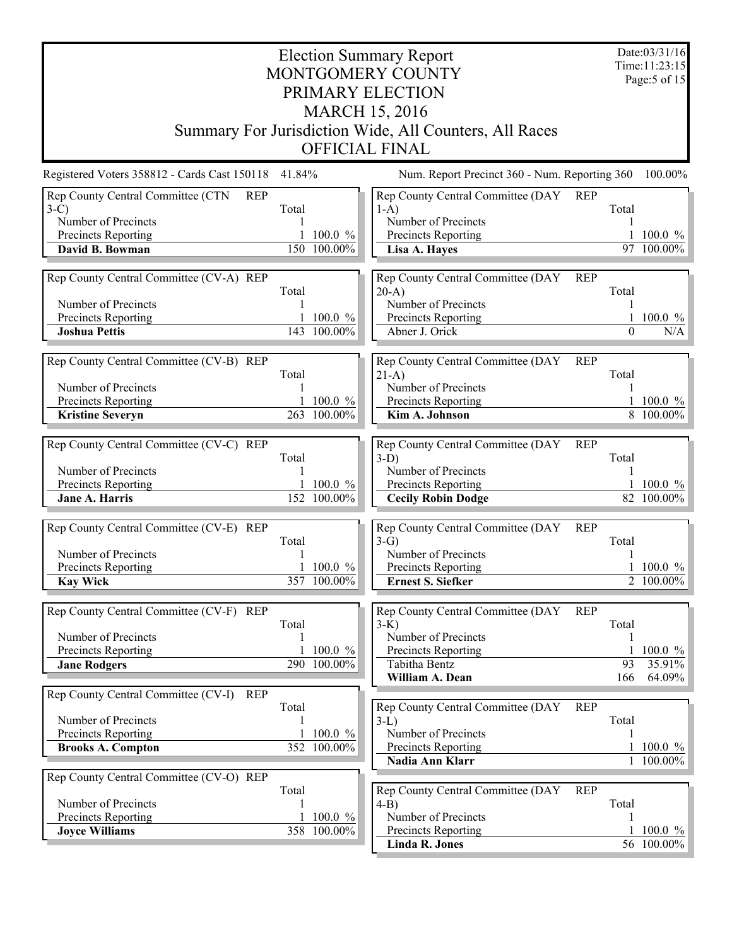| <b>Election Summary Report</b>                      |                       |                             |                                                        |                     |                                |  |  |  |  |  |
|-----------------------------------------------------|-----------------------|-----------------------------|--------------------------------------------------------|---------------------|--------------------------------|--|--|--|--|--|
|                                                     |                       |                             | MONTGOMERY COUNTY                                      |                     | Time: 11:23:15<br>Page:5 of 15 |  |  |  |  |  |
|                                                     |                       |                             | PRIMARY ELECTION                                       |                     |                                |  |  |  |  |  |
|                                                     | <b>MARCH 15, 2016</b> |                             |                                                        |                     |                                |  |  |  |  |  |
|                                                     |                       |                             | Summary For Jurisdiction Wide, All Counters, All Races |                     |                                |  |  |  |  |  |
|                                                     |                       |                             | <b>OFFICIAL FINAL</b>                                  |                     |                                |  |  |  |  |  |
| Registered Voters 358812 - Cards Cast 150118 41.84% |                       |                             | Num. Report Precinct 360 - Num. Reporting 360          |                     | 100.00%                        |  |  |  |  |  |
| Rep County Central Committee (CTN<br><b>REP</b>     |                       |                             | Rep County Central Committee (DAY                      | <b>REP</b>          |                                |  |  |  |  |  |
| $3-C$<br>Number of Precincts                        | Total                 |                             | $1-A$ )<br>Number of Precincts                         | Total               |                                |  |  |  |  |  |
| Precincts Reporting                                 |                       | 1 100.0 $%$                 | Precincts Reporting                                    |                     | $100.0 \%$                     |  |  |  |  |  |
| David B. Bowman                                     |                       | 150 100.00%                 | Lisa A. Hayes                                          | 97                  | 100.00%                        |  |  |  |  |  |
| Rep County Central Committee (CV-A) REP             |                       |                             | Rep County Central Committee (DAY                      | <b>REP</b>          |                                |  |  |  |  |  |
|                                                     | Total                 |                             | $20-A$                                                 | Total               |                                |  |  |  |  |  |
| Number of Precincts                                 | 1                     |                             | Number of Precincts                                    |                     |                                |  |  |  |  |  |
| Precincts Reporting                                 |                       | 1 100.0 $\%$<br>143 100.00% | Precincts Reporting<br>Abner J. Orick                  | $\Omega$            | 1 100.0 $%$<br>N/A             |  |  |  |  |  |
| <b>Joshua Pettis</b>                                |                       |                             |                                                        |                     |                                |  |  |  |  |  |
| Rep County Central Committee (CV-B) REP             |                       |                             | Rep County Central Committee (DAY                      | <b>REP</b>          |                                |  |  |  |  |  |
| Number of Precincts                                 | Total                 |                             | $21-A$ )<br>Number of Precincts                        | Total               |                                |  |  |  |  |  |
| Precincts Reporting                                 |                       | $100.0 \%$                  | Precincts Reporting                                    |                     | $100.0 \%$                     |  |  |  |  |  |
| <b>Kristine Severyn</b>                             |                       | 263 100.00%                 | Kim A. Johnson                                         |                     | 8 100.00%                      |  |  |  |  |  |
| Rep County Central Committee (CV-C) REP             |                       |                             | Rep County Central Committee (DAY                      | <b>REP</b>          |                                |  |  |  |  |  |
|                                                     | Total                 |                             | $3-D$ )                                                | Total               |                                |  |  |  |  |  |
| Number of Precincts                                 |                       |                             | Number of Precincts                                    |                     |                                |  |  |  |  |  |
| Precincts Reporting                                 |                       | 1 100.0 $\%$                | Precincts Reporting                                    |                     | 1 100.0 $%$                    |  |  |  |  |  |
| Jane A. Harris                                      |                       | 152 100.00%                 | <b>Cecily Robin Dodge</b>                              |                     | 82 100.00%                     |  |  |  |  |  |
| Rep County Central Committee (CV-E) REP             |                       |                             | Rep County Central Committee (DAY                      | <b>REP</b>          |                                |  |  |  |  |  |
| Number of Precincts                                 | Total                 |                             | $3-G$<br>Number of Precincts                           | Total               |                                |  |  |  |  |  |
| Precincts Reporting                                 |                       | 1 100.0 $\%$                | Precincts Reporting                                    |                     | $100.0 \%$                     |  |  |  |  |  |
| <b>Kay Wick</b>                                     |                       | 357 100.00%                 | <b>Ernest S. Siefker</b>                               |                     | 2 100.00%                      |  |  |  |  |  |
|                                                     |                       |                             |                                                        |                     |                                |  |  |  |  |  |
| Rep County Central Committee (CV-F) REP             | Total                 |                             | Rep County Central Committee (DAY<br>$3-K$ )           | <b>REP</b><br>Total |                                |  |  |  |  |  |
| Number of Precincts                                 |                       |                             | Number of Precincts                                    |                     |                                |  |  |  |  |  |
| Precincts Reporting                                 |                       | $100.0 \%$                  | Precincts Reporting                                    |                     | 100.0 $%$                      |  |  |  |  |  |
| <b>Jane Rodgers</b>                                 |                       | 290 100.00%                 | Tabitha Bentz<br>William A. Dean                       | 93<br>166           | 35.91%<br>$64.09\%$            |  |  |  |  |  |
| Rep County Central Committee (CV-I)<br><b>REP</b>   |                       |                             |                                                        |                     |                                |  |  |  |  |  |
|                                                     | Total                 |                             | Rep County Central Committee (DAY                      | <b>REP</b>          |                                |  |  |  |  |  |
| Number of Precincts                                 |                       |                             | $3-L$                                                  | Total               |                                |  |  |  |  |  |
| Precincts Reporting                                 |                       | $100.0 \%$<br>352 100.00%   | Number of Precincts<br>Precincts Reporting             |                     | 1 100.0 $%$                    |  |  |  |  |  |
| <b>Brooks A. Compton</b>                            |                       |                             | Nadia Ann Klarr                                        |                     | 1 100.00%                      |  |  |  |  |  |
| Rep County Central Committee (CV-O) REP             |                       |                             |                                                        |                     |                                |  |  |  |  |  |
|                                                     | Total                 |                             | Rep County Central Committee (DAY                      | <b>REP</b>          |                                |  |  |  |  |  |
| Number of Precincts<br>Precincts Reporting          |                       | $100.0 \%$                  | $4-B$<br>Number of Precincts                           | Total               |                                |  |  |  |  |  |
| <b>Joyce Williams</b>                               |                       | 358 100.00%                 | Precincts Reporting                                    |                     | $100.0 \%$                     |  |  |  |  |  |
|                                                     |                       |                             | Linda R. Jones                                         |                     | 56 100.00%                     |  |  |  |  |  |
|                                                     |                       |                             |                                                        |                     |                                |  |  |  |  |  |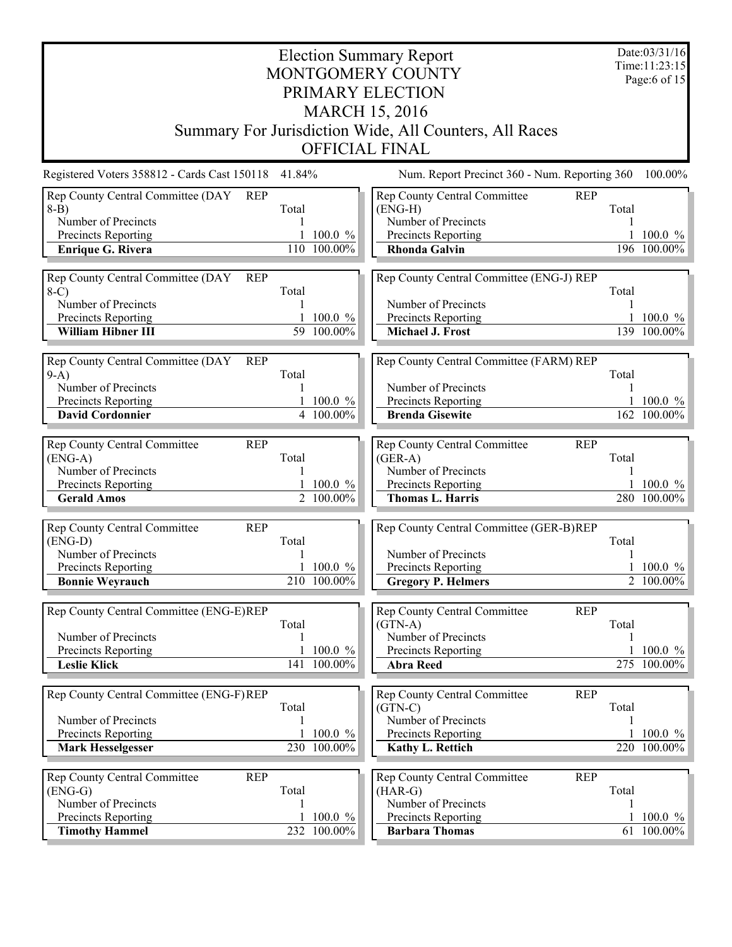| <b>Election Summary Report</b><br>MONTGOMERY COUNTY<br>PRIMARY ELECTION                                                             |                 |                                        |                                                                                                                                  |       |                           |  |  |  |  |
|-------------------------------------------------------------------------------------------------------------------------------------|-----------------|----------------------------------------|----------------------------------------------------------------------------------------------------------------------------------|-------|---------------------------|--|--|--|--|
| <b>MARCH 15, 2016</b><br>Summary For Jurisdiction Wide, All Counters, All Races<br><b>OFFICIAL FINAL</b>                            |                 |                                        |                                                                                                                                  |       |                           |  |  |  |  |
| Registered Voters 358812 - Cards Cast 150118                                                                                        | 41.84%          |                                        | Num. Report Precinct 360 - Num. Reporting 360                                                                                    |       | 100.00%                   |  |  |  |  |
| Rep County Central Committee (DAY<br><b>REP</b><br>$8-B$<br>Number of Precincts<br>Precincts Reporting<br><b>Enrique G. Rivera</b>  | Total           | 100.0 %<br>110 100.00%                 | Rep County Central Committee<br><b>REP</b><br>$(ENG-H)$<br>Number of Precincts<br>Precincts Reporting<br><b>Rhonda Galvin</b>    | Total | $100.0 \%$<br>196 100.00% |  |  |  |  |
| Rep County Central Committee (DAY<br><b>REP</b><br>$8-C$<br>Number of Precincts<br>Precincts Reporting<br>William Hibner III        | Total           | $100.0 \%$<br>59 100.00%               | Rep County Central Committee (ENG-J) REP<br>Number of Precincts<br>Precincts Reporting<br>Michael J. Frost                       | Total | $100.0 \%$<br>139 100.00% |  |  |  |  |
| Rep County Central Committee (DAY<br><b>REP</b><br>$9-A$ )<br>Number of Precincts<br>Precincts Reporting<br><b>David Cordonnier</b> | Total           | 1 100.0 $\%$<br>$\overline{4}$ 100.00% | Rep County Central Committee (FARM) REP<br>Number of Precincts<br>Precincts Reporting<br><b>Brenda Gisewite</b>                  | Total | $100.0 \%$<br>162 100.00% |  |  |  |  |
| Rep County Central Committee<br><b>REP</b><br>$(ENG-A)$<br>Number of Precincts<br>Precincts Reporting<br><b>Gerald Amos</b>         | Total           | 1 100.0 $%$<br>2 100.00%               | Rep County Central Committee<br><b>REP</b><br>$(GER-A)$<br>Number of Precincts<br>Precincts Reporting<br><b>Thomas L. Harris</b> | Total | $100.0 \%$<br>280 100.00% |  |  |  |  |
| Rep County Central Committee<br><b>REP</b><br>$(ENG-D)$<br>Number of Precincts<br>Precincts Reporting<br><b>Bonnie Weyrauch</b>     | Total           | $1\,100.0\%$<br>210 100.00%            | Rep County Central Committee (GER-B)REP<br>Number of Precincts<br>Precincts Reporting<br><b>Gregory P. Helmers</b>               | Total | 1 100.0 $%$<br>2 100.00%  |  |  |  |  |
| Rep County Central Committee (ENG-E)REP<br>Number of Precincts<br>Precincts Reporting<br><b>Leslie Klick</b>                        | Total<br>1<br>1 | 100.0 %<br>141 100.00%                 | Rep County Central Committee<br><b>REP</b><br>$(GTN-A)$<br>Number of Precincts<br>Precincts Reporting<br><b>Abra Reed</b>        | Total | 100.0 $%$<br>275 100.00%  |  |  |  |  |
| Rep County Central Committee (ENG-F)REP<br>Number of Precincts<br>Precincts Reporting<br><b>Mark Hesselgesser</b>                   | Total           | 100.0 %<br>230 100.00%                 | Rep County Central Committee<br><b>REP</b><br>$(GTN-C)$<br>Number of Precincts<br>Precincts Reporting<br><b>Kathy L. Rettich</b> | Total | 100.0 $%$<br>220 100.00%  |  |  |  |  |
| Rep County Central Committee<br><b>REP</b><br>$(ENG-G)$<br>Number of Precincts<br>Precincts Reporting<br><b>Timothy Hammel</b>      | Total           | $100.0 \%$<br>232 100.00%              | Rep County Central Committee<br><b>REP</b><br>$(HAR-G)$<br>Number of Precincts<br>Precincts Reporting<br><b>Barbara Thomas</b>   | Total | $100.0 \%$<br>61 100.00%  |  |  |  |  |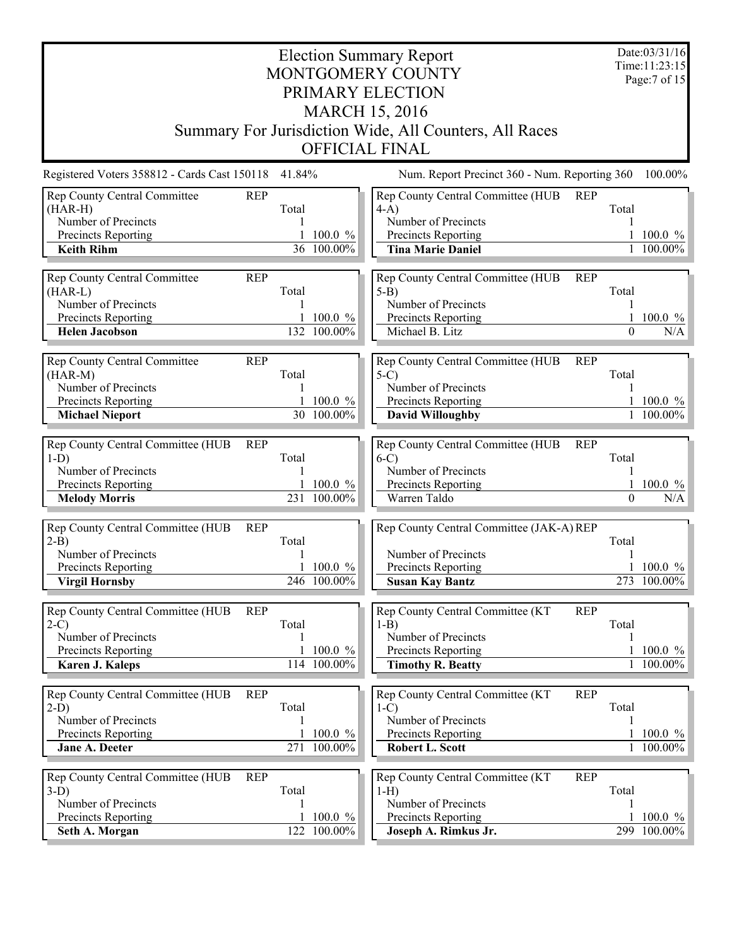| Date:03/31/16<br><b>Election Summary Report</b><br>Time: 11:23:15<br>MONTGOMERY COUNTY<br>PRIMARY ELECTION<br><b>MARCH 15, 2016</b><br>Summary For Jurisdiction Wide, All Counters, All Races |                                                        |                                                                                                                                                                         |                                                           |  |  |  |  |  |
|-----------------------------------------------------------------------------------------------------------------------------------------------------------------------------------------------|--------------------------------------------------------|-------------------------------------------------------------------------------------------------------------------------------------------------------------------------|-----------------------------------------------------------|--|--|--|--|--|
|                                                                                                                                                                                               |                                                        | <b>OFFICIAL FINAL</b>                                                                                                                                                   |                                                           |  |  |  |  |  |
| Registered Voters 358812 - Cards Cast 150118<br>Rep County Central Committee<br>$(HAR-H)$<br>Number of Precincts<br>Precincts Reporting<br><b>Keith Rihm</b>                                  | 41.84%<br><b>REP</b><br>Total<br>100.0 %<br>36 100.00% | Num. Report Precinct 360 - Num. Reporting 360<br>Rep County Central Committee (HUB<br>$4-A$ )<br>Number of Precincts<br>Precincts Reporting<br><b>Tina Marie Daniel</b> | 100.00%<br><b>REP</b><br>Total<br>1 100.0 $\%$<br>100.00% |  |  |  |  |  |
| Rep County Central Committee<br>$(HAR-L)$<br>Number of Precincts<br>Precincts Reporting<br><b>Helen Jacobson</b>                                                                              | <b>REP</b><br>Total<br>$100.0 \%$<br>132 100.00%       | Rep County Central Committee (HUB<br>$5-B$<br>Number of Precincts<br>Precincts Reporting<br>Michael B. Litz                                                             | <b>REP</b><br>Total<br>1 100.0 $%$<br>$\Omega$<br>N/A     |  |  |  |  |  |
| Rep County Central Committee<br>$(HAR-M)$<br>Number of Precincts<br>Precincts Reporting<br><b>Michael Nieport</b>                                                                             | <b>REP</b><br>Total<br>100.0 %<br>30 100.00%           | Rep County Central Committee (HUB<br>$5-C$<br>Number of Precincts<br>Precincts Reporting<br><b>David Willoughby</b>                                                     | <b>REP</b><br>Total<br>$100.0 \%$<br>1 100.00%            |  |  |  |  |  |
| Rep County Central Committee (HUB<br>$1-D)$<br>Number of Precincts<br>Precincts Reporting<br><b>Melody Morris</b>                                                                             | <b>REP</b><br>Total<br>$100.0 \%$<br>231 100.00%       | Rep County Central Committee (HUB<br>$6-C$<br>Number of Precincts<br>Precincts Reporting<br>Warren Taldo                                                                | <b>REP</b><br>Total<br>$100.0 \%$<br>N/A<br>$\Omega$      |  |  |  |  |  |
| Rep County Central Committee (HUB<br>$2-B$<br>Number of Precincts<br>Precincts Reporting<br><b>Virgil Hornsby</b>                                                                             | <b>REP</b><br>Total<br>1 100.0 $%$<br>246 100.00%      | Rep County Central Committee (JAK-A) REP<br>Number of Precincts<br>Precincts Reporting<br><b>Susan Kay Bantz</b>                                                        | Total<br>$1\,100.0\%$<br>273 100.00%                      |  |  |  |  |  |
| Rep County Central Committee (HUB<br>$2-C$<br>Number of Precincts<br>Precincts Reporting<br><b>Karen J. Kaleps</b>                                                                            | <b>REP</b><br>Total<br>100.0 %<br>114 100.00%          | Rep County Central Committee (KT<br>$1-B$<br>Number of Precincts<br>Precincts Reporting<br><b>Timothy R. Beatty</b>                                                     | <b>REP</b><br>Total<br>100.0 %<br>1 100.00%               |  |  |  |  |  |
| Rep County Central Committee (HUB<br>$2-D$ )<br>Number of Precincts<br>Precincts Reporting<br><b>Jane A. Deeter</b>                                                                           | <b>REP</b><br>Total<br>$100.0 \%$<br>271 100.00%       | Rep County Central Committee (KT<br>$1-C$<br>Number of Precincts<br>Precincts Reporting<br>Robert L. Scott                                                              | <b>REP</b><br>Total<br>$100.0 \%$<br>1 100.00%            |  |  |  |  |  |
| Rep County Central Committee (HUB<br>$3-D$ )<br>Number of Precincts<br>Precincts Reporting<br>Seth A. Morgan                                                                                  | <b>REP</b><br>Total<br>100.0 %<br>1<br>122 100.00%     | Rep County Central Committee (KT<br>$1-H$ )<br>Number of Precincts<br>Precincts Reporting<br>Joseph A. Rimkus Jr.                                                       | <b>REP</b><br>Total<br>100.0 $%$<br>299 100.00%           |  |  |  |  |  |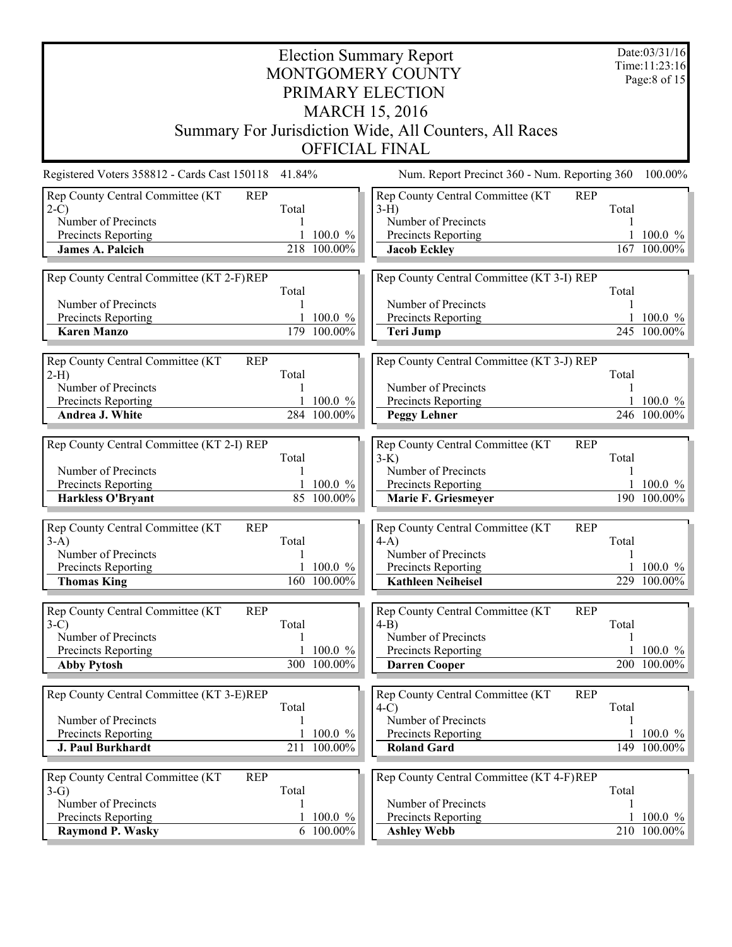| Date:03/31/16<br><b>Election Summary Report</b><br>Time: 11:23:16 |        |              |                                                           |       |              |  |  |  |
|-------------------------------------------------------------------|--------|--------------|-----------------------------------------------------------|-------|--------------|--|--|--|
| MONTGOMERY COUNTY                                                 |        |              |                                                           |       |              |  |  |  |
|                                                                   |        |              | PRIMARY ELECTION                                          |       |              |  |  |  |
|                                                                   |        |              | <b>MARCH 15, 2016</b>                                     |       |              |  |  |  |
|                                                                   |        |              | Summary For Jurisdiction Wide, All Counters, All Races    |       |              |  |  |  |
|                                                                   |        |              | <b>OFFICIAL FINAL</b>                                     |       |              |  |  |  |
| Registered Voters 358812 - Cards Cast 150118                      | 41.84% |              | Num. Report Precinct 360 - Num. Reporting 360             |       | 100.00%      |  |  |  |
| Rep County Central Committee (KT<br><b>REP</b><br>$2-C$           | Total  |              | Rep County Central Committee (KT<br><b>REP</b><br>$3-H$ ) | Total |              |  |  |  |
| Number of Precincts                                               |        |              | Number of Precincts                                       |       |              |  |  |  |
| Precincts Reporting                                               |        | $100.0 \%$   | Precincts Reporting                                       |       | $100.0 \%$   |  |  |  |
| <b>James A. Palcich</b>                                           |        | 218 100.00%  | <b>Jacob Eckley</b>                                       |       | 167 100.00%  |  |  |  |
|                                                                   |        |              |                                                           |       |              |  |  |  |
| Rep County Central Committee (KT 2-F)REP                          | Total  |              | Rep County Central Committee (KT 3-I) REP                 | Total |              |  |  |  |
| Number of Precincts                                               |        |              | Number of Precincts                                       |       |              |  |  |  |
| Precincts Reporting                                               |        | $100.0 \%$   | Precincts Reporting                                       |       | $100.0 \%$   |  |  |  |
| <b>Karen Manzo</b>                                                |        | 179 100.00%  | <b>Teri Jump</b>                                          |       | 245 100.00%  |  |  |  |
|                                                                   |        |              |                                                           |       |              |  |  |  |
| Rep County Central Committee (KT<br><b>REP</b><br>$2-H$ )         | Total  |              | Rep County Central Committee (KT 3-J) REP                 | Total |              |  |  |  |
| Number of Precincts                                               |        |              | Number of Precincts                                       |       |              |  |  |  |
| Precincts Reporting                                               |        | 1 100.0 $\%$ | Precincts Reporting                                       |       | 1 100.0 $\%$ |  |  |  |
| Andrea J. White                                                   |        | 284 100.00%  | <b>Peggy Lehner</b>                                       |       | 246 100.00%  |  |  |  |
|                                                                   |        |              |                                                           |       |              |  |  |  |
| Rep County Central Committee (KT 2-I) REP                         |        |              | Rep County Central Committee (KT<br><b>REP</b>            |       |              |  |  |  |
| Number of Precincts                                               | Total  |              | $3-K$ )<br>Number of Precincts                            | Total |              |  |  |  |
| Precincts Reporting                                               |        | $100.0 \%$   | Precincts Reporting                                       |       | $100.0 \%$   |  |  |  |
| Harkless O'Bryant                                                 |        | 85 100.00%   | Marie F. Griesmeyer                                       |       | 190 100.00%  |  |  |  |
|                                                                   |        |              |                                                           |       |              |  |  |  |
| Rep County Central Committee (KT<br><b>REP</b>                    |        |              | Rep County Central Committee (KT<br><b>REP</b>            |       |              |  |  |  |
| $3-A)$<br>Number of Precincts                                     | Total  |              | $4-A$ )<br>Number of Precincts                            | Total |              |  |  |  |
| Precincts Reporting                                               |        | 1 100.0 $\%$ | Precincts Reporting                                       |       | 1 100.0 $\%$ |  |  |  |
| <b>Thomas King</b>                                                |        | 160 100.00%  | <b>Kathleen Neiheisel</b>                                 |       | 229 100.00%  |  |  |  |
|                                                                   |        |              |                                                           |       |              |  |  |  |
| Rep County Central Committee (KT<br><b>REP</b>                    |        |              | Rep County Central Committee (KT<br><b>REP</b>            |       |              |  |  |  |
| $3-C$<br>Number of Precincts                                      | Total  |              | $4-B$<br>Number of Precincts                              | Total |              |  |  |  |
| Precincts Reporting                                               |        | 100.0 %      | Precincts Reporting                                       |       | $100.0 \%$   |  |  |  |
| <b>Abby Pytosh</b>                                                |        | 300 100.00%  | <b>Darren Cooper</b>                                      |       | 200 100.00%  |  |  |  |
|                                                                   |        |              |                                                           |       |              |  |  |  |
| Rep County Central Committee (KT 3-E)REP                          |        |              | Rep County Central Committee (KT<br><b>REP</b>            |       |              |  |  |  |
|                                                                   | Total  |              | $4-C$<br>Number of Precincts                              | Total |              |  |  |  |
| Number of Precincts<br>Precincts Reporting                        |        | $100.0 \%$   | Precincts Reporting                                       |       | $100.0 \%$   |  |  |  |
| <b>J. Paul Burkhardt</b>                                          |        | 211 100.00%  | <b>Roland Gard</b>                                        |       | 149 100.00%  |  |  |  |
|                                                                   |        |              |                                                           |       |              |  |  |  |
| <b>REP</b><br>Rep County Central Committee (KT                    |        |              | Rep County Central Committee (KT 4-F)REP                  |       |              |  |  |  |
| $3-G$                                                             | Total  |              |                                                           | Total |              |  |  |  |
| Number of Precincts<br>Precincts Reporting                        |        | $100.0 \%$   | Number of Precincts<br>Precincts Reporting                |       | $100.0 \%$   |  |  |  |
| <b>Raymond P. Wasky</b>                                           |        | 6 100.00%    | <b>Ashley Webb</b>                                        |       | 210 100.00%  |  |  |  |
|                                                                   |        |              |                                                           |       |              |  |  |  |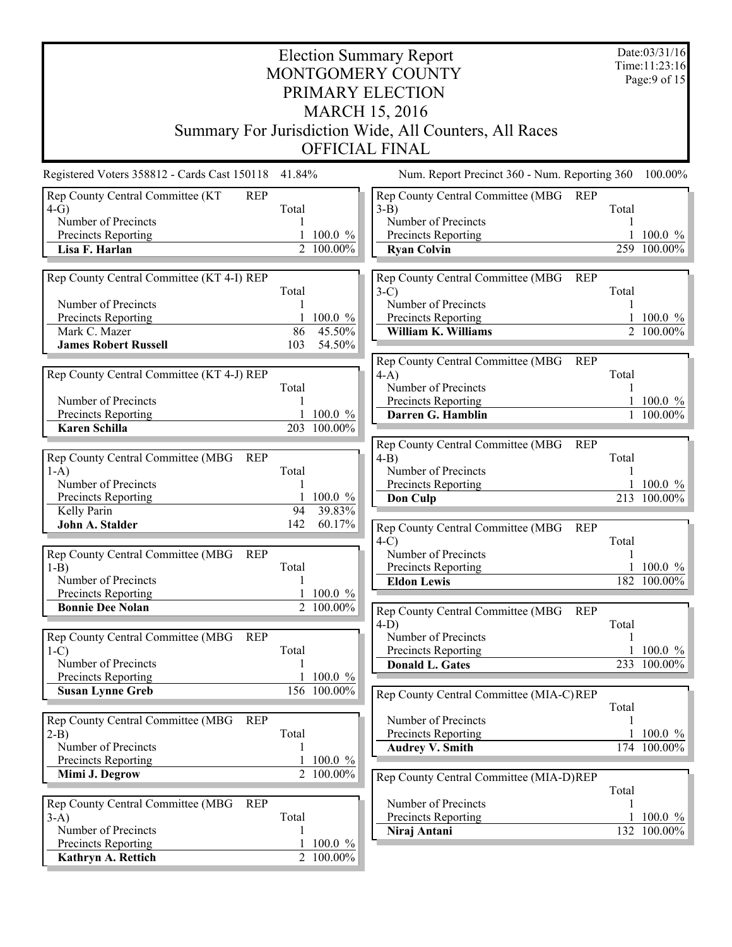| Date:03/31/16<br><b>Election Summary Report</b><br>Time:11:23:16<br>Page: $9$ of 15 |           |                             |                                                        |       |             |  |  |
|-------------------------------------------------------------------------------------|-----------|-----------------------------|--------------------------------------------------------|-------|-------------|--|--|
| MONTGOMERY COUNTY<br>PRIMARY ELECTION                                               |           |                             |                                                        |       |             |  |  |
|                                                                                     |           |                             |                                                        |       |             |  |  |
|                                                                                     |           |                             | <b>MARCH 15, 2016</b>                                  |       |             |  |  |
|                                                                                     |           |                             | Summary For Jurisdiction Wide, All Counters, All Races |       |             |  |  |
|                                                                                     |           |                             | <b>OFFICIAL FINAL</b>                                  |       |             |  |  |
| Registered Voters 358812 - Cards Cast 150118 41.84%                                 |           |                             | Num. Report Precinct 360 - Num. Reporting 360          |       | 100.00%     |  |  |
| Rep County Central Committee (KT<br><b>REP</b><br>$4-G$                             | Total     |                             | Rep County Central Committee (MBG<br>REP<br>$3-B$ )    | Total |             |  |  |
| Number of Precincts                                                                 |           |                             | Number of Precincts                                    |       |             |  |  |
| Precincts Reporting                                                                 |           | 1 100.0 $%$                 | Precincts Reporting                                    |       | $100.0 \%$  |  |  |
| Lisa F. Harlan                                                                      |           | 2 100.00%                   | <b>Ryan Colvin</b>                                     |       | 259 100.00% |  |  |
| Rep County Central Committee (KT 4-I) REP                                           |           |                             | Rep County Central Committee (MBG<br><b>REP</b>        |       |             |  |  |
|                                                                                     | Total     |                             | $3-C$                                                  | Total |             |  |  |
| Number of Precincts                                                                 | 1         |                             | Number of Precincts                                    | 1     |             |  |  |
| Precincts Reporting                                                                 |           | 100.0 %                     | Precincts Reporting                                    |       | 1 100.0 $%$ |  |  |
| Mark C. Mazer<br><b>James Robert Russell</b>                                        | 86<br>103 | 45.50%<br>54.50%            | William K. Williams                                    |       | 2 100.00%   |  |  |
|                                                                                     |           |                             | Rep County Central Committee (MBG<br><b>REP</b>        |       |             |  |  |
| Rep County Central Committee (KT 4-J) REP                                           |           |                             | $4-A$ )                                                | Total |             |  |  |
|                                                                                     | Total     |                             | Number of Precincts                                    |       |             |  |  |
| Number of Precincts                                                                 |           |                             | Precincts Reporting                                    |       | $100.0 \%$  |  |  |
| Precincts Reporting<br><b>Karen Schilla</b>                                         |           | 1 100.0 $\%$<br>203 100.00% | Darren G. Hamblin                                      |       | 1 100.00%   |  |  |
|                                                                                     |           |                             | Rep County Central Committee (MBG<br><b>REP</b>        |       |             |  |  |
| Rep County Central Committee (MBG<br><b>REP</b>                                     |           |                             | $4-B$                                                  | Total |             |  |  |
| $1-A$ )                                                                             | Total     |                             | Number of Precincts                                    |       |             |  |  |
| Number of Precincts                                                                 |           |                             | Precincts Reporting                                    |       | 1 100.0 $%$ |  |  |
| Precincts Reporting<br>Kelly Parin                                                  | 94        | 100.0 %<br>39.83%           | Don Culp                                               |       | 213 100.00% |  |  |
| John A. Stalder                                                                     | 142       | 60.17%                      | Rep County Central Committee (MBG<br>REP               |       |             |  |  |
|                                                                                     |           |                             | $4-C$                                                  | Total |             |  |  |
| Rep County Central Committee (MBG<br><b>REP</b>                                     |           |                             | Number of Precincts                                    |       |             |  |  |
| $1-B$                                                                               | Total     |                             | Precincts Reporting                                    |       | $100.0 \%$  |  |  |
| Number of Precincts<br>Precincts Reporting                                          |           | 1 100.0 $%$                 | <b>Eldon Lewis</b>                                     |       | 182 100.00% |  |  |
| <b>Bonnie Dee Nolan</b>                                                             |           | 2 100.00%                   | Rep County Central Committee (MBG<br><b>REP</b>        |       |             |  |  |
|                                                                                     |           |                             | $4-D$ )                                                | Total |             |  |  |
| Rep County Central Committee (MBG<br><b>REP</b>                                     |           |                             | Number of Precincts                                    |       |             |  |  |
| $1-C$                                                                               | Total     |                             | Precincts Reporting                                    |       | 1 100.0 $%$ |  |  |
| Number of Precincts<br>Precincts Reporting                                          |           | 100.0 %                     | <b>Donald L. Gates</b>                                 |       | 233 100.00% |  |  |
| <b>Susan Lynne Greb</b>                                                             |           | 156 100.00%                 | Rep County Central Committee (MIA-C)REP                |       |             |  |  |
|                                                                                     |           |                             |                                                        | Total |             |  |  |
| Rep County Central Committee (MBG<br><b>REP</b>                                     |           |                             | Number of Precincts                                    |       |             |  |  |
| $2-B$ )                                                                             | Total     |                             | Precincts Reporting                                    |       | $100.0 \%$  |  |  |
| Number of Precincts<br>Precincts Reporting                                          |           | $100.0 \%$                  | <b>Audrey V. Smith</b>                                 |       | 174 100.00% |  |  |
| Mimi J. Degrow                                                                      |           | 2 100.00%                   | Rep County Central Committee (MIA-D)REP                |       |             |  |  |
|                                                                                     |           |                             |                                                        | Total |             |  |  |
| Rep County Central Committee (MBG<br><b>REP</b>                                     |           |                             | Number of Precincts                                    |       |             |  |  |
| $3-A$ )                                                                             | Total     |                             | <b>Precincts Reporting</b>                             |       | $100.0 \%$  |  |  |
| Number of Precincts<br><b>Precincts Reporting</b>                                   |           | $100.0 \%$                  | Niraj Antani                                           |       | 132 100.00% |  |  |
| Kathryn A. Rettich                                                                  |           | 2 100.00%                   |                                                        |       |             |  |  |
|                                                                                     |           |                             |                                                        |       |             |  |  |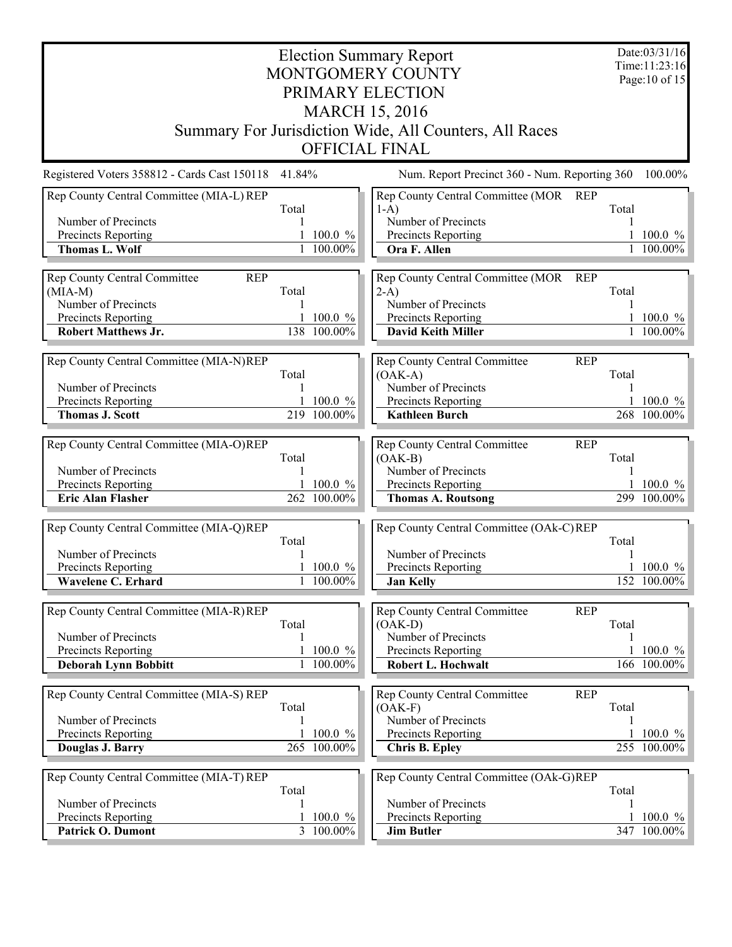| <b>Election Summary Report</b>                |                                                        |                                      |                                                         |       |                                 |  |  |  |  |  |
|-----------------------------------------------|--------------------------------------------------------|--------------------------------------|---------------------------------------------------------|-------|---------------------------------|--|--|--|--|--|
|                                               |                                                        |                                      | MONTGOMERY COUNTY                                       |       | Time:11:23:16<br>Page: 10 of 15 |  |  |  |  |  |
|                                               |                                                        |                                      | PRIMARY ELECTION                                        |       |                                 |  |  |  |  |  |
| <b>MARCH 15, 2016</b>                         |                                                        |                                      |                                                         |       |                                 |  |  |  |  |  |
|                                               | Summary For Jurisdiction Wide, All Counters, All Races |                                      |                                                         |       |                                 |  |  |  |  |  |
|                                               |                                                        |                                      | <b>OFFICIAL FINAL</b>                                   |       |                                 |  |  |  |  |  |
| Registered Voters 358812 - Cards Cast 150118  | 41.84%                                                 |                                      | Num. Report Precinct 360 - Num. Reporting 360           |       | 100.00%                         |  |  |  |  |  |
| Rep County Central Committee (MIA-L) REP      | Total                                                  |                                      | Rep County Central Committee (MOR<br>REP<br>$1-A$ )     | Total |                                 |  |  |  |  |  |
| Number of Precincts                           |                                                        |                                      | Number of Precincts                                     |       |                                 |  |  |  |  |  |
| Precincts Reporting<br><b>Thomas L. Wolf</b>  |                                                        | $100.0 \%$<br>1 100.00%              | Precincts Reporting<br>Ora F. Allen                     |       | $100.0 \%$<br>1 100.00%         |  |  |  |  |  |
|                                               |                                                        |                                      |                                                         |       |                                 |  |  |  |  |  |
| Rep County Central Committee<br><b>REP</b>    |                                                        |                                      | Rep County Central Committee (MOR<br><b>REP</b>         |       |                                 |  |  |  |  |  |
| $(MIA-M)$<br>Number of Precincts              | Total                                                  |                                      | $2-A$<br>Number of Precincts                            | Total |                                 |  |  |  |  |  |
| Precincts Reporting                           |                                                        | 1 100.0 $\%$                         | Precincts Reporting                                     |       | 1 100.0 $%$                     |  |  |  |  |  |
| <b>Robert Matthews Jr.</b>                    |                                                        | 138 100.00%                          | <b>David Keith Miller</b>                               |       | $\frac{1}{1}$ 100.00%           |  |  |  |  |  |
| Rep County Central Committee (MIA-N)REP       |                                                        |                                      | Rep County Central Committee<br><b>REP</b>              |       |                                 |  |  |  |  |  |
|                                               | Total                                                  |                                      | $(OAK-A)$                                               | Total |                                 |  |  |  |  |  |
| Number of Precincts                           |                                                        |                                      | Number of Precincts                                     |       |                                 |  |  |  |  |  |
| Precincts Reporting<br><b>Thomas J. Scott</b> |                                                        | $100.0 \%$<br>219 100.00%            | Precincts Reporting<br><b>Kathleen Burch</b>            |       | $100.0 \%$<br>268 100.00%       |  |  |  |  |  |
|                                               |                                                        |                                      |                                                         |       |                                 |  |  |  |  |  |
| Rep County Central Committee (MIA-O)REP       |                                                        |                                      | Rep County Central Committee<br><b>REP</b>              |       |                                 |  |  |  |  |  |
| Number of Precincts                           | Total                                                  |                                      | $(OAK-B)$<br>Number of Precincts                        | Total |                                 |  |  |  |  |  |
| Precincts Reporting                           |                                                        | 1 100.0 $\%$                         | Precincts Reporting                                     |       | 1 100.0 $\%$                    |  |  |  |  |  |
| <b>Eric Alan Flasher</b>                      |                                                        | 262 100.00%                          | <b>Thomas A. Routsong</b>                               |       | 299 100.00%                     |  |  |  |  |  |
|                                               |                                                        |                                      |                                                         |       |                                 |  |  |  |  |  |
| Rep County Central Committee (MIA-Q)REP       | Total                                                  |                                      | Rep County Central Committee (OAk-C)REP                 | Total |                                 |  |  |  |  |  |
| Number of Precincts                           |                                                        |                                      | Number of Precincts                                     |       |                                 |  |  |  |  |  |
| Precincts Reporting                           |                                                        | $100.0 \%$                           | Precincts Reporting                                     |       | 1 100.0 $\%$                    |  |  |  |  |  |
| Wavelene C. Erhard                            |                                                        | $100.00\%$                           | <b>Jan Kelly</b>                                        |       | 152 100.00%                     |  |  |  |  |  |
| Rep County Central Committee (MIA-R)REP       |                                                        |                                      | <b>Rep County Central Committee</b><br><b>REP</b>       |       |                                 |  |  |  |  |  |
|                                               | Total                                                  |                                      | $(OAK-D)$                                               | Total |                                 |  |  |  |  |  |
| Number of Precincts<br>Precincts Reporting    | 1                                                      | 100.0 %                              | Number of Precincts<br>Precincts Reporting              |       | 1 100.0 $\%$                    |  |  |  |  |  |
| <b>Deborah Lynn Bobbitt</b>                   |                                                        | 1 100.00%                            | Robert L. Hochwalt                                      |       | 166 100.00%                     |  |  |  |  |  |
|                                               |                                                        |                                      |                                                         |       |                                 |  |  |  |  |  |
| Rep County Central Committee (MIA-S) REP      | Total                                                  |                                      | Rep County Central Committee<br><b>REP</b><br>$(OAK-F)$ | Total |                                 |  |  |  |  |  |
| Number of Precincts                           |                                                        |                                      | Number of Precincts                                     |       |                                 |  |  |  |  |  |
| Precincts Reporting                           |                                                        | $100.0 \%$                           | Precincts Reporting                                     |       | 1 100.0 $\%$                    |  |  |  |  |  |
| Douglas J. Barry                              |                                                        | 265 100.00%                          | <b>Chris B. Epley</b>                                   |       | 255 100.00%                     |  |  |  |  |  |
| Rep County Central Committee (MIA-T) REP      |                                                        |                                      | Rep County Central Committee (OAk-G)REP                 |       |                                 |  |  |  |  |  |
|                                               | Total                                                  |                                      |                                                         | Total |                                 |  |  |  |  |  |
| Number of Precincts                           | 1                                                      |                                      | Number of Precincts                                     |       |                                 |  |  |  |  |  |
| Precincts Reporting<br>Patrick O. Dumont      |                                                        | $100.0 \%$<br>$\overline{3}$ 100.00% | Precincts Reporting<br><b>Jim Butler</b>                |       | $100.0 \%$<br>347 100.00%       |  |  |  |  |  |
|                                               |                                                        |                                      |                                                         |       |                                 |  |  |  |  |  |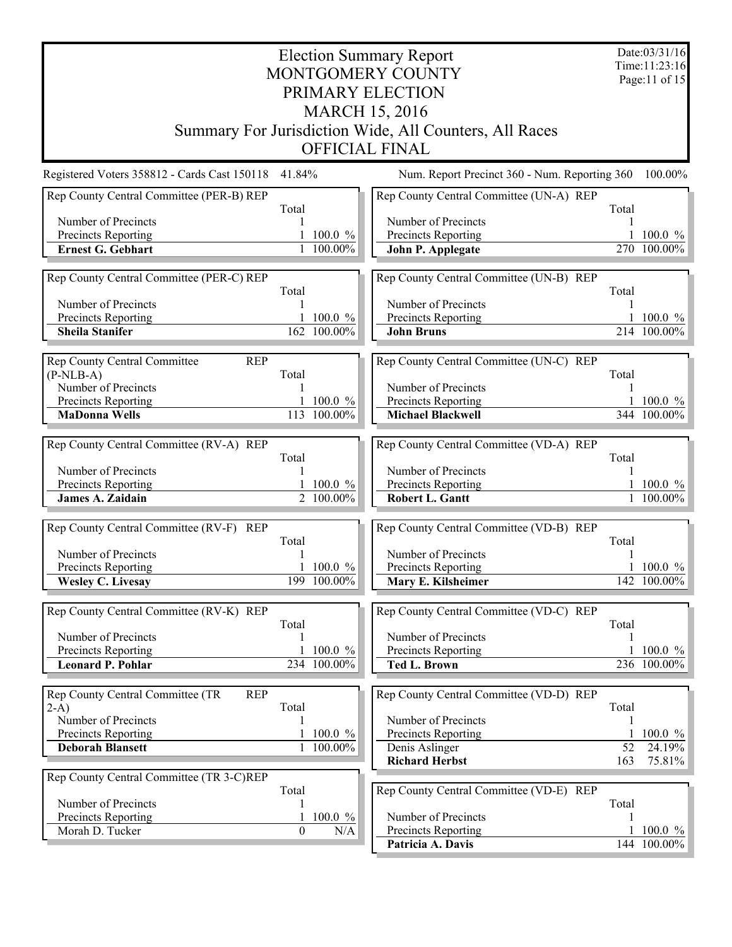| <b>Election Summary Report</b>                  |                       |                             |                                                        |       |                           |  |  |  |  |
|-------------------------------------------------|-----------------------|-----------------------------|--------------------------------------------------------|-------|---------------------------|--|--|--|--|
| MONTGOMERY COUNTY                               |                       |                             |                                                        |       |                           |  |  |  |  |
| PRIMARY ELECTION                                |                       |                             |                                                        |       |                           |  |  |  |  |
|                                                 | <b>MARCH 15, 2016</b> |                             |                                                        |       |                           |  |  |  |  |
|                                                 |                       |                             |                                                        |       |                           |  |  |  |  |
|                                                 |                       |                             | Summary For Jurisdiction Wide, All Counters, All Races |       |                           |  |  |  |  |
|                                                 |                       |                             | <b>OFFICIAL FINAL</b>                                  |       |                           |  |  |  |  |
| Registered Voters 358812 - Cards Cast 150118    | 41.84%                |                             | Num. Report Precinct 360 - Num. Reporting 360          |       | 100.00%                   |  |  |  |  |
| Rep County Central Committee (PER-B) REP        |                       |                             | Rep County Central Committee (UN-A) REP                |       |                           |  |  |  |  |
| Number of Precincts                             | Total                 |                             | Number of Precincts                                    | Total |                           |  |  |  |  |
| Precincts Reporting                             |                       | $100.0 \%$                  | Precincts Reporting                                    |       | $100.0 \%$                |  |  |  |  |
| <b>Ernest G. Gebhart</b>                        |                       | 1 100.00%                   | John P. Applegate                                      |       | 270 100.00%               |  |  |  |  |
|                                                 |                       |                             |                                                        |       |                           |  |  |  |  |
| Rep County Central Committee (PER-C) REP        | Total                 |                             | Rep County Central Committee (UN-B) REP                | Total |                           |  |  |  |  |
| Number of Precincts                             |                       |                             | Number of Precincts                                    |       |                           |  |  |  |  |
| Precincts Reporting                             |                       | 1 100.0 $\%$                | Precincts Reporting                                    |       | 1 100.0 $%$               |  |  |  |  |
| <b>Sheila Stanifer</b>                          |                       | 162 100.00%                 | <b>John Bruns</b>                                      |       | 214 100.00%               |  |  |  |  |
| Rep County Central Committee<br><b>REP</b>      |                       |                             | Rep County Central Committee (UN-C) REP                |       |                           |  |  |  |  |
| $(P-NLB-A)$                                     | Total                 |                             |                                                        | Total |                           |  |  |  |  |
| Number of Precincts                             |                       |                             | Number of Precincts                                    |       |                           |  |  |  |  |
| Precincts Reporting                             |                       | 1 100.0 $%$                 | Precincts Reporting                                    |       | $100.0 \%$                |  |  |  |  |
| <b>MaDonna Wells</b>                            |                       | 113 100.00%                 | <b>Michael Blackwell</b>                               |       | 344 100.00%               |  |  |  |  |
| Rep County Central Committee (RV-A) REP         |                       |                             | Rep County Central Committee (VD-A) REP                |       |                           |  |  |  |  |
|                                                 | Total                 |                             |                                                        | Total |                           |  |  |  |  |
| Number of Precincts                             |                       |                             | Number of Precincts                                    |       |                           |  |  |  |  |
| Precincts Reporting                             |                       | $100.0 \%$                  | Precincts Reporting                                    |       | $100.0 \%$                |  |  |  |  |
| <b>James A. Zaidain</b>                         |                       | 2 100.00%                   | <b>Robert L. Gantt</b>                                 |       | 1 100.00%                 |  |  |  |  |
| Rep County Central Committee (RV-F) REP         |                       |                             | Rep County Central Committee (VD-B) REP                |       |                           |  |  |  |  |
|                                                 | Total                 |                             |                                                        | Total |                           |  |  |  |  |
| Number of Precincts                             |                       |                             | Number of Precincts                                    |       |                           |  |  |  |  |
| Precincts Reporting<br><b>Wesley C. Livesay</b> |                       | $1\,100.0\%$<br>199 100.00% | Precincts Reporting<br>Mary E. Kilsheimer              |       | $100.0 \%$<br>142 100.00% |  |  |  |  |
|                                                 |                       |                             |                                                        |       |                           |  |  |  |  |
| Rep County Central Committee (RV-K) REP         |                       |                             | Rep County Central Committee (VD-C) REP                |       |                           |  |  |  |  |
|                                                 | Total                 |                             |                                                        | Total |                           |  |  |  |  |
| Number of Precincts                             |                       |                             | Number of Precincts                                    |       |                           |  |  |  |  |
| Precincts Reporting<br><b>Leonard P. Pohlar</b> |                       | 100.0 %<br>234 100.00%      | Precincts Reporting<br><b>Ted L. Brown</b>             |       | $100.0 \%$<br>236 100.00% |  |  |  |  |
|                                                 |                       |                             |                                                        |       |                           |  |  |  |  |
| Rep County Central Committee (TR<br><b>REP</b>  |                       |                             | Rep County Central Committee (VD-D) REP                |       |                           |  |  |  |  |
| $2-A$ )                                         | Total                 |                             |                                                        | Total |                           |  |  |  |  |
| Number of Precincts                             |                       |                             | Number of Precincts                                    |       |                           |  |  |  |  |
| Precincts Reporting<br><b>Deborah Blansett</b>  |                       | 100.0 %<br>1 100.00%        | Precincts Reporting<br>Denis Aslinger                  | 52    | $100.0 \%$<br>24.19%      |  |  |  |  |
|                                                 |                       |                             | <b>Richard Herbst</b>                                  | 163   | 75.81%                    |  |  |  |  |
| Rep County Central Committee (TR 3-C)REP        |                       |                             |                                                        |       |                           |  |  |  |  |
|                                                 | Total                 |                             | Rep County Central Committee (VD-E) REP                |       |                           |  |  |  |  |
| Number of Precincts<br>Precincts Reporting      | 1<br>1                | 100.0 %                     | Number of Precincts                                    | Total |                           |  |  |  |  |
| Morah D. Tucker                                 | $\overline{0}$        | N/A                         | Precincts Reporting                                    |       | $100.0 \%$                |  |  |  |  |
|                                                 |                       |                             | Patricia A. Davis                                      |       | 144 100.00%               |  |  |  |  |
|                                                 |                       |                             |                                                        |       |                           |  |  |  |  |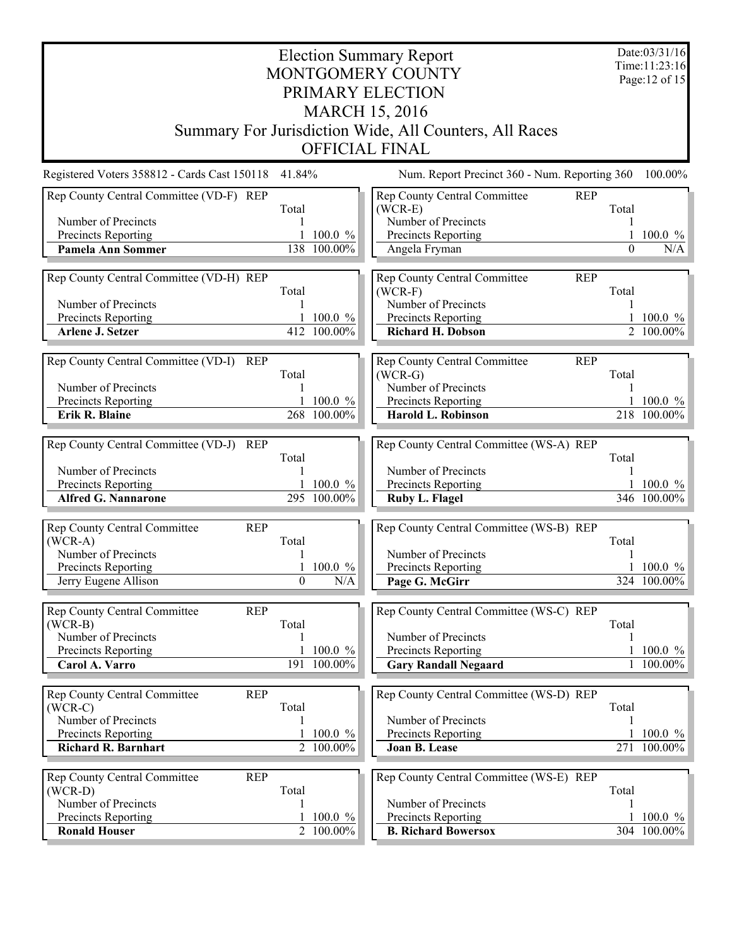| <b>Election Summary Report</b><br>Time:11:23:16         |                       |                             |                                                        |          |                             |  |  |  |  |  |
|---------------------------------------------------------|-----------------------|-----------------------------|--------------------------------------------------------|----------|-----------------------------|--|--|--|--|--|
| MONTGOMERY COUNTY                                       |                       |                             |                                                        |          |                             |  |  |  |  |  |
| PRIMARY ELECTION                                        |                       |                             |                                                        |          |                             |  |  |  |  |  |
|                                                         | <b>MARCH 15, 2016</b> |                             |                                                        |          |                             |  |  |  |  |  |
|                                                         |                       |                             | Summary For Jurisdiction Wide, All Counters, All Races |          |                             |  |  |  |  |  |
| <b>OFFICIAL FINAL</b>                                   |                       |                             |                                                        |          |                             |  |  |  |  |  |
| Registered Voters 358812 - Cards Cast 150118            | 41.84%                |                             | Num. Report Precinct 360 - Num. Reporting 360          |          | 100.00%                     |  |  |  |  |  |
| Rep County Central Committee (VD-F) REP                 |                       |                             | Rep County Central Committee<br><b>REP</b>             |          |                             |  |  |  |  |  |
| Number of Precincts                                     | Total                 |                             | $(WCR-E)$<br>Number of Precincts                       | Total    |                             |  |  |  |  |  |
| Precincts Reporting                                     |                       | 100.0 %                     | Precincts Reporting                                    |          | 100.0 $%$                   |  |  |  |  |  |
| <b>Pamela Ann Sommer</b>                                |                       | 138 100.00%                 | Angela Fryman                                          | $\Omega$ | N/A                         |  |  |  |  |  |
|                                                         |                       |                             |                                                        |          |                             |  |  |  |  |  |
| Rep County Central Committee (VD-H) REP                 |                       |                             | Rep County Central Committee<br><b>REP</b>             |          |                             |  |  |  |  |  |
| Number of Precincts                                     | Total                 |                             | $(WCR-F)$<br>Number of Precincts                       | Total    |                             |  |  |  |  |  |
| Precincts Reporting                                     |                       | $100.0 \%$                  | Precincts Reporting                                    |          | $100.0 \%$                  |  |  |  |  |  |
| Arlene J. Setzer                                        |                       | 412 100.00%                 | <b>Richard H. Dobson</b>                               |          | $\overline{2}$ 100.00%      |  |  |  |  |  |
|                                                         |                       |                             |                                                        |          |                             |  |  |  |  |  |
| Rep County Central Committee (VD-I)<br>REP              |                       |                             | Rep County Central Committee<br><b>REP</b>             |          |                             |  |  |  |  |  |
|                                                         | Total                 |                             | $(WCR-G)$                                              | Total    |                             |  |  |  |  |  |
| Number of Precincts<br>Precincts Reporting              |                       | 100.0 %                     | Number of Precincts<br>Precincts Reporting             |          | $100.0 \%$                  |  |  |  |  |  |
| Erik R. Blaine                                          |                       | 268 100.00%                 | <b>Harold L. Robinson</b>                              |          | 218 100.00%                 |  |  |  |  |  |
|                                                         |                       |                             |                                                        |          |                             |  |  |  |  |  |
| Rep County Central Committee (VD-J) REP                 |                       |                             | Rep County Central Committee (WS-A) REP                |          |                             |  |  |  |  |  |
|                                                         | Total                 |                             |                                                        | Total    |                             |  |  |  |  |  |
| Number of Precincts                                     |                       |                             | Number of Precincts                                    |          |                             |  |  |  |  |  |
| Precincts Reporting<br><b>Alfred G. Nannarone</b>       |                       | $1\,100.0\%$<br>295 100.00% | Precincts Reporting<br>Ruby L. Flagel                  |          | 1 100.0 $\%$<br>346 100.00% |  |  |  |  |  |
|                                                         |                       |                             |                                                        |          |                             |  |  |  |  |  |
| Rep County Central Committee<br><b>REP</b>              |                       |                             | Rep County Central Committee (WS-B) REP                |          |                             |  |  |  |  |  |
| $(WCR-A)$                                               | Total                 |                             |                                                        | Total    |                             |  |  |  |  |  |
| Number of Precincts                                     |                       |                             | Number of Precincts                                    |          |                             |  |  |  |  |  |
| Precincts Reporting<br>Jerry Eugene Allison             | $\boldsymbol{0}$      | $100.0 \%$<br>$\rm N/A$     | Precincts Reporting<br>Page G. McGirr                  |          | $100.0 \%$<br>324 100.00%   |  |  |  |  |  |
|                                                         |                       |                             |                                                        |          |                             |  |  |  |  |  |
| <b>REP</b><br><b>Rep County Central Committee</b>       |                       |                             | Rep County Central Committee (WS-C) REP                |          |                             |  |  |  |  |  |
| $(WCR-B)$                                               | Total                 |                             |                                                        | Total    |                             |  |  |  |  |  |
| Number of Precincts                                     |                       |                             | Number of Precincts                                    |          |                             |  |  |  |  |  |
| Precincts Reporting                                     |                       | $100.0 \%$                  | Precincts Reporting                                    |          | $100.0 \%$                  |  |  |  |  |  |
| Carol A. Varro                                          |                       | 191 100.00%                 | <b>Gary Randall Negaard</b>                            |          | 1 100.00%                   |  |  |  |  |  |
| Rep County Central Committee<br><b>REP</b>              |                       |                             | Rep County Central Committee (WS-D) REP                |          |                             |  |  |  |  |  |
| $(WCR-C)$                                               | Total                 |                             |                                                        | Total    |                             |  |  |  |  |  |
| Number of Precincts                                     |                       |                             | Number of Precincts                                    |          |                             |  |  |  |  |  |
| Precincts Reporting                                     |                       | 100.0 %                     | Precincts Reporting                                    |          | 1 100.0 $\%$                |  |  |  |  |  |
| <b>Richard R. Barnhart</b>                              |                       | $2\overline{100.00\%}$      | Joan B. Lease                                          |          | 271 100.00%                 |  |  |  |  |  |
|                                                         |                       |                             |                                                        |          |                             |  |  |  |  |  |
| Rep County Central Committee<br><b>REP</b><br>$(WCR-D)$ | Total                 |                             | Rep County Central Committee (WS-E) REP                | Total    |                             |  |  |  |  |  |
| Number of Precincts                                     |                       |                             | Number of Precincts                                    |          |                             |  |  |  |  |  |
| Precincts Reporting                                     |                       | 100.0 %                     | Precincts Reporting                                    |          | $100.0 \%$                  |  |  |  |  |  |
| <b>Ronald Houser</b>                                    |                       | 2 100.00%                   | <b>B. Richard Bowersox</b>                             |          | 304 100.00%                 |  |  |  |  |  |
|                                                         |                       |                             |                                                        |          |                             |  |  |  |  |  |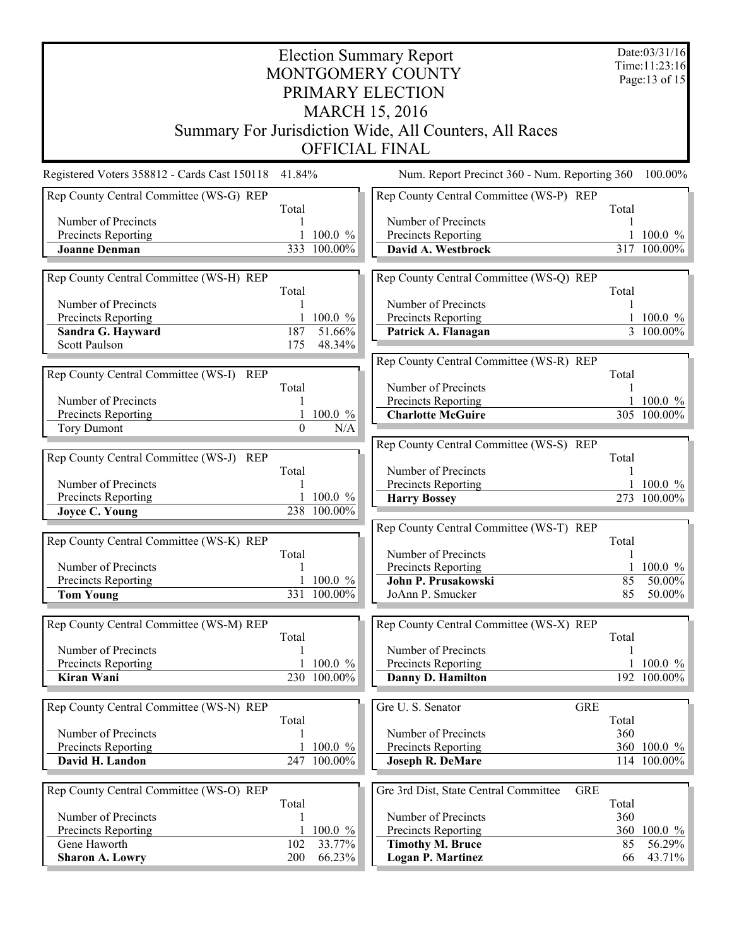| <b>Election Summary Report</b>               |          |                            |                                                        |       |                                  |  |  |
|----------------------------------------------|----------|----------------------------|--------------------------------------------------------|-------|----------------------------------|--|--|
|                                              |          |                            | MONTGOMERY COUNTY                                      |       | Time: 11:23:16<br>Page: 13 of 15 |  |  |
| PRIMARY ELECTION                             |          |                            |                                                        |       |                                  |  |  |
|                                              |          |                            | <b>MARCH 15, 2016</b>                                  |       |                                  |  |  |
|                                              |          |                            | Summary For Jurisdiction Wide, All Counters, All Races |       |                                  |  |  |
|                                              |          |                            | <b>OFFICIAL FINAL</b>                                  |       |                                  |  |  |
| Registered Voters 358812 - Cards Cast 150118 | 41.84%   |                            | Num. Report Precinct 360 - Num. Reporting 360          |       | 100.00%                          |  |  |
| Rep County Central Committee (WS-G) REP      | Total    |                            | Rep County Central Committee (WS-P) REP                | Total |                                  |  |  |
| Number of Precincts                          |          |                            | Number of Precincts                                    |       |                                  |  |  |
| Precincts Reporting                          |          | 100.0 %                    | Precincts Reporting                                    |       | $100.0 \%$                       |  |  |
| <b>Joanne Denman</b>                         |          | 333 100.00%                | David A. Westbrock                                     |       | 317 100.00%                      |  |  |
| Rep County Central Committee (WS-H) REP      |          |                            | Rep County Central Committee (WS-Q) REP                |       |                                  |  |  |
| Number of Precincts                          | Total    |                            | Number of Precincts                                    | Total |                                  |  |  |
| Precincts Reporting                          |          | $100.0 \%$                 | Precincts Reporting                                    |       | 1 100.0 $%$                      |  |  |
| Sandra G. Hayward                            | 187      | 51.66%                     | Patrick A. Flanagan                                    |       | $\frac{1}{3}$ 100.00%            |  |  |
| <b>Scott Paulson</b>                         | 175      | 48.34%                     |                                                        |       |                                  |  |  |
| Rep County Central Committee (WS-I) REP      |          |                            | Rep County Central Committee (WS-R) REP                | Total |                                  |  |  |
|                                              | Total    |                            | Number of Precincts                                    |       |                                  |  |  |
| Number of Precincts                          |          |                            | Precincts Reporting                                    |       | $100.0 \%$                       |  |  |
| Precincts Reporting                          |          | 100.0 %                    | <b>Charlotte McGuire</b>                               |       | 305 100.00%                      |  |  |
| <b>Tory Dumont</b>                           | $\Omega$ | N/A                        |                                                        |       |                                  |  |  |
| Rep County Central Committee (WS-J) REP      |          |                            | Rep County Central Committee (WS-S) REP                | Total |                                  |  |  |
|                                              | Total    |                            | Number of Precincts                                    |       |                                  |  |  |
| Number of Precincts                          |          |                            | Precincts Reporting                                    |       | 1 100.0 $%$                      |  |  |
| Precincts Reporting<br><b>Joyce C. Young</b> |          | 1 100.0 $%$<br>238 100.00% | <b>Harry Bossey</b>                                    |       | 273 100.00%                      |  |  |
|                                              |          |                            | Rep County Central Committee (WS-T) REP                |       |                                  |  |  |
| Rep County Central Committee (WS-K) REP      |          |                            |                                                        | Total |                                  |  |  |
|                                              | Total    |                            | Number of Precincts                                    |       |                                  |  |  |
| Number of Precincts<br>Precincts Reporting   |          | 1 100.0 $%$                | Precincts Reporting<br>John P. Prusakowski             | 85    | 1 100.0 $%$<br>50.00%            |  |  |
| <b>Tom Young</b>                             |          | 331 100.00%                | JoAnn P. Smucker                                       | 85    | $50.00\%$                        |  |  |
|                                              |          |                            |                                                        |       |                                  |  |  |
| Rep County Central Committee (WS-M) REP      | Total    |                            | Rep County Central Committee (WS-X) REP                | Total |                                  |  |  |
| Number of Precincts                          |          |                            | Number of Precincts                                    |       |                                  |  |  |
| Precincts Reporting                          |          | $100.0 \%$                 | Precincts Reporting                                    |       | $100.0 \%$                       |  |  |
| Kiran Wani                                   |          | 230 100.00%                | Danny D. Hamilton                                      |       | 192 100.00%                      |  |  |
| Rep County Central Committee (WS-N) REP      |          |                            | Gre U. S. Senator<br><b>GRE</b>                        |       |                                  |  |  |
|                                              | Total    |                            |                                                        | Total |                                  |  |  |
| Number of Precincts                          |          |                            | Number of Precincts                                    | 360   |                                  |  |  |
| Precincts Reporting<br>David H. Landon       |          | 100.0 %<br>247 100.00%     | Precincts Reporting<br><b>Joseph R. DeMare</b>         |       | 360 100.0 %<br>114 100.00%       |  |  |
|                                              |          |                            |                                                        |       |                                  |  |  |
| Rep County Central Committee (WS-O) REP      | Total    |                            | Gre 3rd Dist, State Central Committee<br><b>GRE</b>    | Total |                                  |  |  |
| Number of Precincts                          |          |                            | Number of Precincts                                    | 360   |                                  |  |  |
| Precincts Reporting                          |          | 100.0 %                    | Precincts Reporting                                    | 360   | 100.0 %                          |  |  |
| Gene Haworth                                 | 102      | 33.77%                     | <b>Timothy M. Bruce</b>                                | 85    | 56.29%                           |  |  |
| <b>Sharon A. Lowry</b>                       | 200      | 66.23%                     | <b>Logan P. Martinez</b>                               | 66    | $43.71\%$                        |  |  |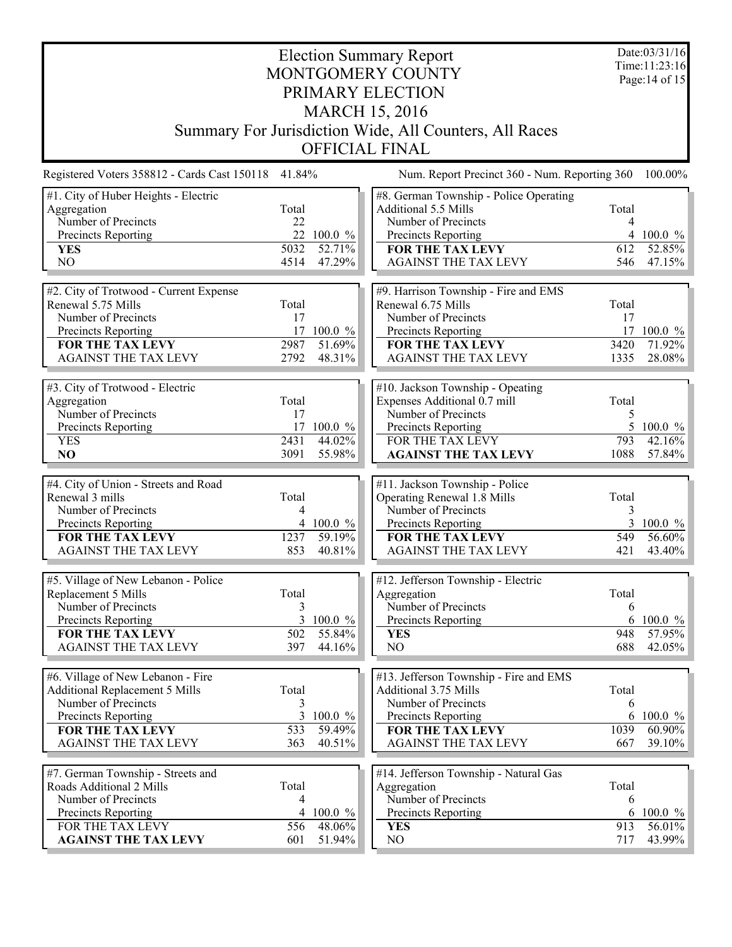| <b>Election Summary Report</b><br>MONTGOMERY COUNTY<br>PRIMARY ELECTION<br><b>MARCH 15, 2016</b><br>Summary For Jurisdiction Wide, All Counters, All Races<br><b>OFFICIAL FINAL</b> |                                   |                                |                                                                                                                                                                         |                                   |                                        |
|-------------------------------------------------------------------------------------------------------------------------------------------------------------------------------------|-----------------------------------|--------------------------------|-------------------------------------------------------------------------------------------------------------------------------------------------------------------------|-----------------------------------|----------------------------------------|
| Registered Voters 358812 - Cards Cast 150118 41.84%                                                                                                                                 |                                   |                                | Num. Report Precinct 360 - Num. Reporting 360                                                                                                                           |                                   | 100.00%                                |
| #1. City of Huber Heights - Electric<br>Aggregation<br>Number of Precincts<br>Precincts Reporting<br><b>YES</b><br>NO                                                               | Total<br>22<br>5032<br>4514       | 22 100.0 %<br>52.71%<br>47.29% | #8. German Township - Police Operating<br>Additional 5.5 Mills<br>Number of Precincts<br>Precincts Reporting<br><b>FOR THE TAX LEVY</b><br><b>AGAINST THE TAX LEVY</b>  | Total<br>4<br>612<br>546          | 4 100.0 $%$<br>52.85%<br>$47.15\%$     |
| #2. City of Trotwood - Current Expense<br>Renewal 5.75 Mills<br>Number of Precincts<br>Precincts Reporting<br>FOR THE TAX LEVY<br><b>AGAINST THE TAX LEVY</b>                       | Total<br>17<br>17<br>2987<br>2792 | 100.0 %<br>51.69%<br>48.31%    | #9. Harrison Township - Fire and EMS<br>Renewal 6.75 Mills<br>Number of Precincts<br>Precincts Reporting<br><b>FOR THE TAX LEVY</b><br><b>AGAINST THE TAX LEVY</b>      | Total<br>17<br>17<br>3420<br>1335 | 100.0 %<br>71.92%<br>$28.08\%$         |
| #3. City of Trotwood - Electric<br>Aggregation<br>Number of Precincts<br>Precincts Reporting<br><b>YES</b><br>NO                                                                    | Total<br>17<br>2431<br>3091       | 17 100.0 %<br>44.02%<br>55.98% | #10. Jackson Township - Opeating<br>Expenses Additional 0.7 mill<br>Number of Precincts<br>Precincts Reporting<br>FOR THE TAX LEVY<br><b>AGAINST THE TAX LEVY</b>       | Total<br>5<br>793<br>1088         | 5 100.0 $\%$<br>$42.16\%$<br>57.84%    |
| #4. City of Union - Streets and Road<br>Renewal 3 mills<br>Number of Precincts<br>Precincts Reporting<br><b>FOR THE TAX LEVY</b><br><b>AGAINST THE TAX LEVY</b>                     | Total<br>4<br>1237<br>853         | 4 100.0 %<br>59.19%<br>40.81%  | #11. Jackson Township - Police<br>Operating Renewal 1.8 Mills<br>Number of Precincts<br>Precincts Reporting<br><b>FOR THE TAX LEVY</b><br><b>AGAINST THE TAX LEVY</b>   | Total<br>3<br>3<br>549<br>421     | $100.0 \%$<br>$56.60\%$<br>43.40%      |
| #5. Village of New Lebanon - Police<br>Replacement 5 Mills<br>Number of Precincts<br>Precincts Reporting<br>FOR THE TAX LEVY<br><b>AGAINST THE TAX LEVY</b>                         | Total<br>3<br>3<br>502<br>397     | 100.0 %<br>55.84%<br>44.16%    | $\sqrt{\text{\#12}}$ . Jefferson Township - Electric<br>Aggregation<br>Number of Precincts<br>Precincts Reporting<br><b>YES</b><br>NO                                   | Total<br>6<br>948<br>688          | 6 100.0 $\%$<br>57.95%<br>$42.05\%$    |
| #6. Village of New Lebanon - Fire<br><b>Additional Replacement 5 Mills</b><br>Number of Precincts<br>Precincts Reporting<br><b>FOR THE TAX LEVY</b><br><b>AGAINST THE TAX LEVY</b>  | Total<br>3<br>3<br>533<br>363     | 100.0 %<br>59.49%<br>40.51%    | #13. Jefferson Township - Fire and EMS<br>Additional 3.75 Mills<br>Number of Precincts<br>Precincts Reporting<br><b>FOR THE TAX LEVY</b><br><b>AGAINST THE TAX LEVY</b> | Total<br>6<br>1039<br>667         | 6 100.0 $\%$<br>$60.90\%$<br>$39.10\%$ |
| #7. German Township - Streets and<br>Roads Additional 2 Mills<br>Number of Precincts<br>Precincts Reporting<br>FOR THE TAX LEVY<br><b>AGAINST THE TAX LEVY</b>                      | Total<br>4<br>4<br>556<br>601     | 100.0 %<br>48.06%<br>51.94%    | #14. Jefferson Township - Natural Gas<br>Aggregation<br>Number of Precincts<br>Precincts Reporting<br><b>YES</b><br>NO                                                  | Total<br>6<br>6<br>913<br>717     | 100.0 $%$<br>$56.01\%$<br>43.99%       |